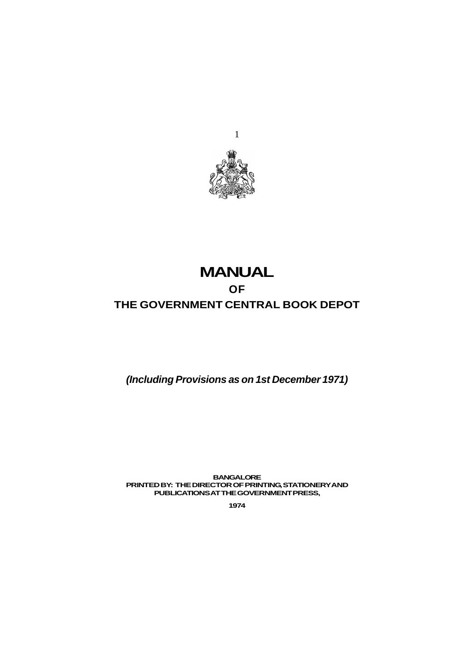

# **MANUAL OF THE GOVERNMENT CENTRAL BOOK DEPOT**

*(Including Provisions as on 1st December 1971)*

**BANGALORE PRINTED BY: THE DIRECTOR OF PRINTING, STATIONERY AND PUBLICATIONS AT THE GOVERNMENT PRESS,**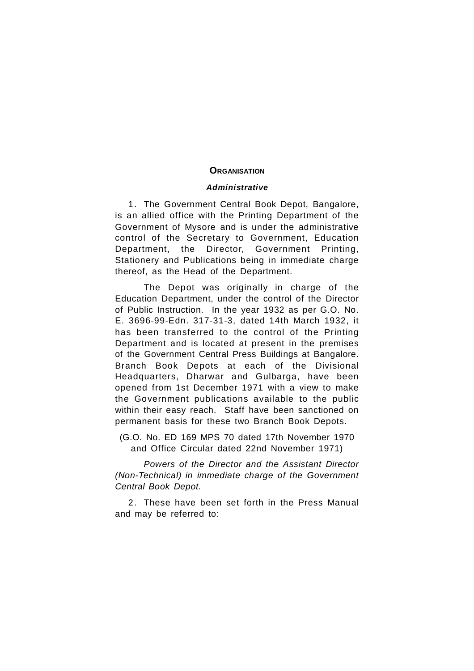# **ORGANISATION**

# *Administrative*

1. The Government Central Book Depot, Bangalore, is an allied office with the Printing Department of the Government of Mysore and is under the administrative control of the Secretary to Government, Education Department, the Director, Government Printing, Stationery and Publications being in immediate charge thereof, as the Head of the Department.

The Depot was originally in charge of the Education Department, under the control of the Director of Public Instruction. In the year 1932 as per G.O. No. E. 3696-99-Edn. 317-31-3, dated 14th March 1932, it has been transferred to the control of the Printing Department and is located at present in the premises of the Government Central Press Buildings at Bangalore. Branch Book Depots at each of the Divisional Headquarters, Dharwar and Gulbarga, have been opened from 1st December 1971 with a view to make the Government publications available to the public within their easy reach. Staff have been sanctioned on permanent basis for these two Branch Book Depots.

(G.O. No. ED 169 MPS 70 dated 17th November 1970 and Office Circular dated 22nd November 1971)

*Powers of the Director and the Assistant Director (Non-Technical) in immediate charge of the Government Central Book Depot.*

2. These have been set forth in the Press Manual and may be referred to: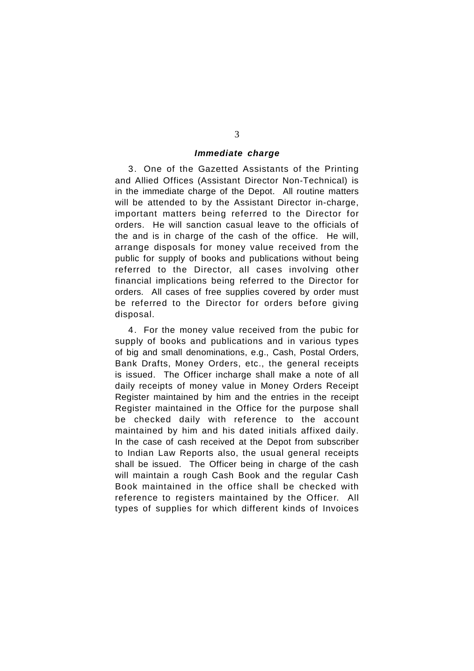# *Immediate charge*

3. One of the Gazetted Assistants of the Printing and Allied Offices (Assistant Director Non-Technical) is in the immediate charge of the Depot. All routine matters will be attended to by the Assistant Director in-charge, important matters being referred to the Director for orders. He will sanction casual leave to the officials of the and is in charge of the cash of the office. He will, arrange disposals for money value received from the public for supply of books and publications without being referred to the Director, all cases involving other financial implications being referred to the Director for orders. All cases of free supplies covered by order must be referred to the Director for orders before giving disposal.

4. For the money value received from the pubic for supply of books and publications and in various types of big and small denominations, e.g., Cash, Postal Orders, Bank Drafts, Money Orders, etc., the general receipts is issued. The Officer incharge shall make a note of all daily receipts of money value in Money Orders Receipt Register maintained by him and the entries in the receipt Register maintained in the Office for the purpose shall be checked daily with reference to the account maintained by him and his dated initials affixed daily. In the case of cash received at the Depot from subscriber to Indian Law Reports also, the usual general receipts shall be issued. The Officer being in charge of the cash will maintain a rough Cash Book and the regular Cash Book maintained in the office shall be checked with reference to registers maintained by the Officer. All types of supplies for which different kinds of Invoices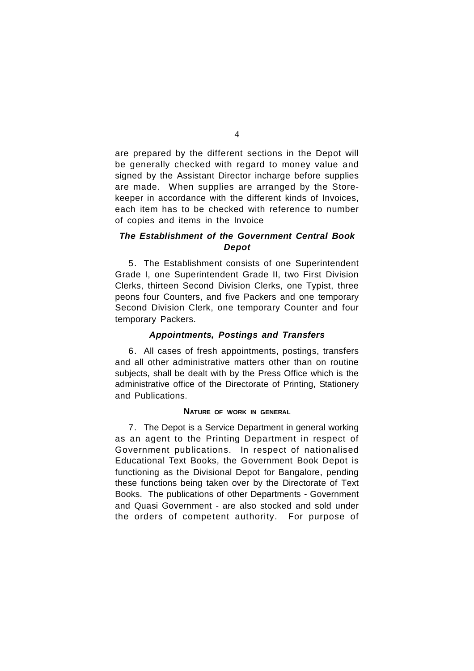are prepared by the different sections in the Depot will be generally checked with regard to money value and signed by the Assistant Director incharge before supplies are made. When supplies are arranged by the Storekeeper in accordance with the different kinds of Invoices, each item has to be checked with reference to number of copies and items in the Invoice

# *The Establishment of the Government Central Book Depot*

5. The Establishment consists of one Superintendent Grade I, one Superintendent Grade II, two First Division Clerks, thirteen Second Division Clerks, one Typist, three peons four Counters, and five Packers and one temporary Second Division Clerk, one temporary Counter and four temporary Packers.

# *Appointments, Postings and Transfers*

6. All cases of fresh appointments, postings, transfers and all other administrative matters other than on routine subjects, shall be dealt with by the Press Office which is the administrative office of the Directorate of Printing, Stationery and Publications.

# **NATURE OF WORK IN GENERAL**

7. The Depot is a Service Department in general working as an agent to the Printing Department in respect of Government publications. In respect of nationalised Educational Text Books, the Government Book Depot is functioning as the Divisional Depot for Bangalore, pending these functions being taken over by the Directorate of Text Books. The publications of other Departments - Government and Quasi Government - are also stocked and sold under the orders of competent authority. For purpose of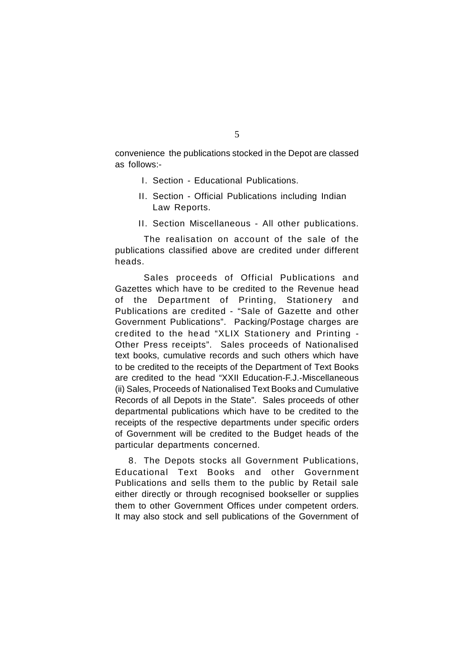convenience the publications stocked in the Depot are classed as follows:-

- I. Section Educational Publications.
- II. Section Official Publications including Indian Law Reports.
- II. Section Miscellaneous All other publications.

The realisation on account of the sale of the publications classified above are credited under different heads.

Sales proceeds of Official Publications and Gazettes which have to be credited to the Revenue head of the Department of Printing, Stationery and Publications are credited - "Sale of Gazette and other Government Publications". Packing/Postage charges are credited to the head "XLIX Stationery and Printing - Other Press receipts". Sales proceeds of Nationalised text books, cumulative records and such others which have to be credited to the receipts of the Department of Text Books are credited to the head "XXII Education-F.J.-Miscellaneous (ii) Sales, Proceeds of Nationalised Text Books and Cumulative Records of all Depots in the State". Sales proceeds of other departmental publications which have to be credited to the receipts of the respective departments under specific orders of Government will be credited to the Budget heads of the particular departments concerned.

8. The Depots stocks all Government Publications, Educational Text Books and other Government Publications and sells them to the public by Retail sale either directly or through recognised bookseller or supplies them to other Government Offices under competent orders. It may also stock and sell publications of the Government of

5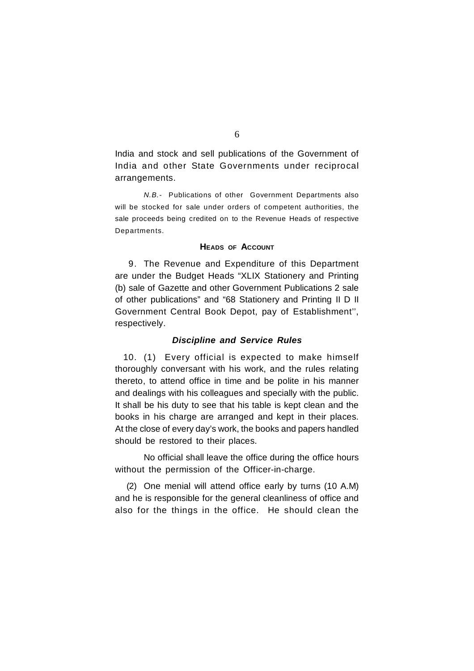India and stock and sell publications of the Government of India and other State Governments under reciprocal arrangements.

*N.B.-* Publications of other Government Departments also will be stocked for sale under orders of competent authorities, the sale proceeds being credited on to the Revenue Heads of respective Departments.

# **HEADS OF ACCOUNT**

9. The Revenue and Expenditure of this Department are under the Budget Heads "XLIX Stationery and Printing (b) sale of Gazette and other Government Publications 2 sale of other publications" and "68 Stationery and Printing II D II Government Central Book Depot, pay of Establishment'', respectively.

# *Discipline and Service Rules*

10. (1) Every official is expected to make himself thoroughly conversant with his work, and the rules relating thereto, to attend office in time and be polite in his manner and dealings with his colleagues and specially with the public. It shall be his duty to see that his table is kept clean and the books in his charge are arranged and kept in their places. At the close of every day's work, the books and papers handled should be restored to their places.

No official shall leave the office during the office hours without the permission of the Officer-in-charge.

(2) One menial will attend office early by turns (10 A.M) and he is responsible for the general cleanliness of office and also for the things in the office. He should clean the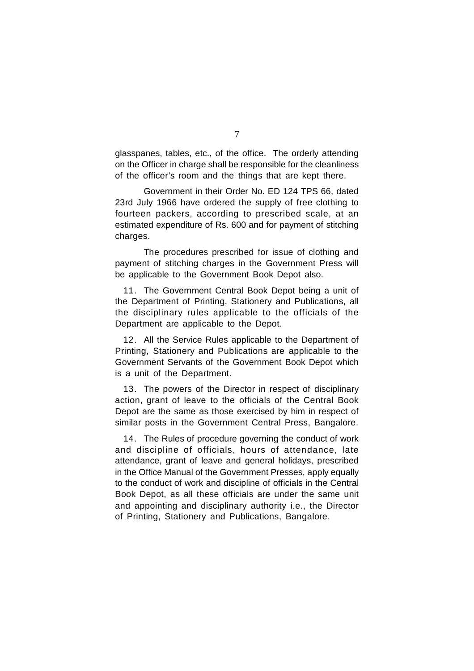glasspanes, tables, etc., of the office. The orderly attending on the Officer in charge shall be responsible for the cleanliness of the officer's room and the things that are kept there.

Government in their Order No. ED 124 TPS 66, dated 23rd July 1966 have ordered the supply of free clothing to fourteen packers, according to prescribed scale, at an estimated expenditure of Rs. 600 and for payment of stitching charges.

The procedures prescribed for issue of clothing and payment of stitching charges in the Government Press will be applicable to the Government Book Depot also.

11. The Government Central Book Depot being a unit of the Department of Printing, Stationery and Publications, all the disciplinary rules applicable to the officials of the Department are applicable to the Depot.

12. All the Service Rules applicable to the Department of Printing, Stationery and Publications are applicable to the Government Servants of the Government Book Depot which is a unit of the Department.

13. The powers of the Director in respect of disciplinary action, grant of leave to the officials of the Central Book Depot are the same as those exercised by him in respect of similar posts in the Government Central Press, Bangalore.

14. The Rules of procedure governing the conduct of work and discipline of officials, hours of attendance, late attendance, grant of leave and general holidays, prescribed in the Office Manual of the Government Presses, apply equally to the conduct of work and discipline of officials in the Central Book Depot, as all these officials are under the same unit and appointing and disciplinary authority i.e., the Director of Printing, Stationery and Publications, Bangalore.

7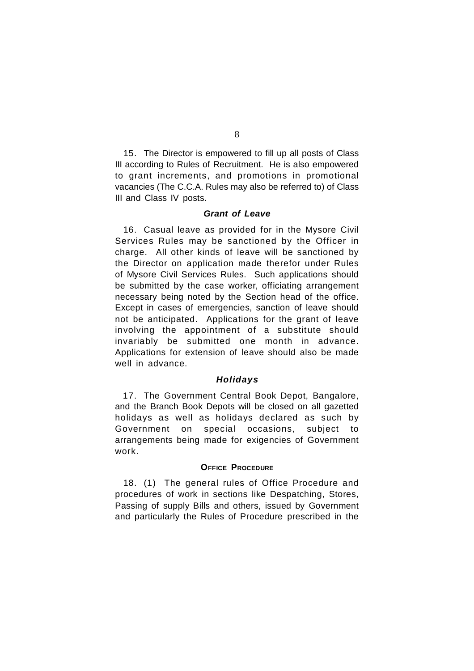15. The Director is empowered to fill up all posts of Class III according to Rules of Recruitment. He is also empowered to grant increments, and promotions in promotional vacancies (The C.C.A. Rules may also be referred to) of Class III and Class IV posts.

# *Grant of Leave*

16. Casual leave as provided for in the Mysore Civil Services Rules may be sanctioned by the Officer in charge. All other kinds of leave will be sanctioned by the Director on application made therefor under Rules of Mysore Civil Services Rules. Such applications should be submitted by the case worker, officiating arrangement necessary being noted by the Section head of the office. Except in cases of emergencies, sanction of leave should not be anticipated. Applications for the grant of leave involving the appointment of a substitute should invariably be submitted one month in advance. Applications for extension of leave should also be made well in advance.

# *Holidays*

17. The Government Central Book Depot, Bangalore, and the Branch Book Depots will be closed on all gazetted holidays as well as holidays declared as such by Government on special occasions, subject to arrangements being made for exigencies of Government work.

# **OFFICE PROCEDURE**

18. (1) The general rules of Office Procedure and procedures of work in sections like Despatching, Stores, Passing of supply Bills and others, issued by Government and particularly the Rules of Procedure prescribed in the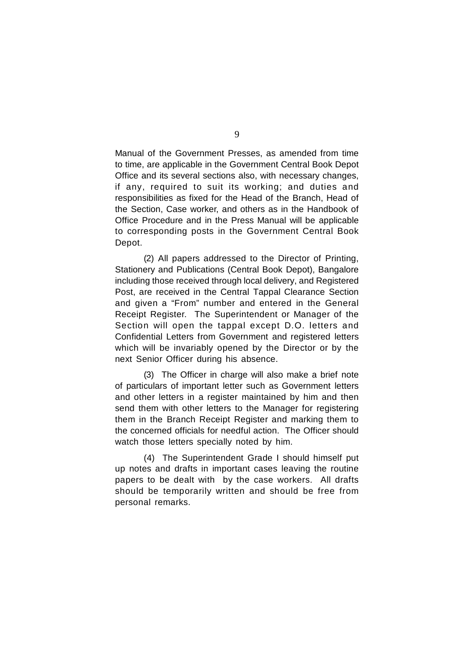Manual of the Government Presses, as amended from time to time, are applicable in the Government Central Book Depot Office and its several sections also, with necessary changes, if any, required to suit its working; and duties and responsibilities as fixed for the Head of the Branch, Head of the Section, Case worker, and others as in the Handbook of Office Procedure and in the Press Manual will be applicable to corresponding posts in the Government Central Book Depot.

(2) All papers addressed to the Director of Printing, Stationery and Publications (Central Book Depot), Bangalore including those received through local delivery, and Registered Post, are received in the Central Tappal Clearance Section and given a "From" number and entered in the General Receipt Register. The Superintendent or Manager of the Section will open the tappal except D.O. letters and Confidential Letters from Government and registered letters which will be invariably opened by the Director or by the next Senior Officer during his absence.

(3) The Officer in charge will also make a brief note of particulars of important letter such as Government letters and other letters in a register maintained by him and then send them with other letters to the Manager for registering them in the Branch Receipt Register and marking them to the concerned officials for needful action. The Officer should watch those letters specially noted by him.

(4) The Superintendent Grade I should himself put up notes and drafts in important cases leaving the routine papers to be dealt with by the case workers. All drafts should be temporarily written and should be free from personal remarks.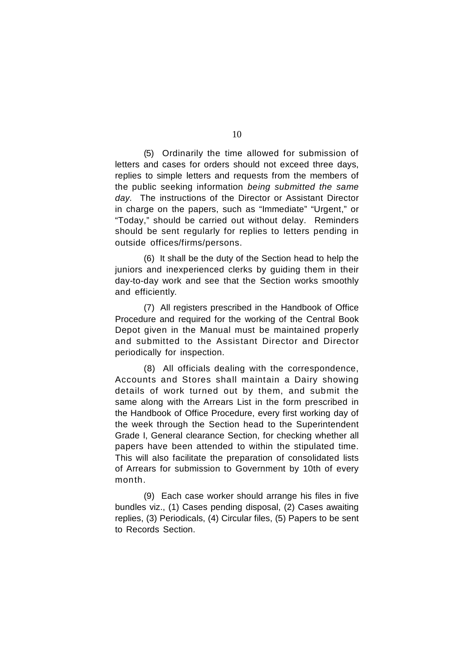(5) Ordinarily the time allowed for submission of letters and cases for orders should not exceed three days, replies to simple letters and requests from the members of the public seeking information *being submitted the same day.* The instructions of the Director or Assistant Director in charge on the papers, such as "Immediate" "Urgent," or "Today," should be carried out without delay. Reminders should be sent regularly for replies to letters pending in outside offices/firms/persons.

(6) It shall be the duty of the Section head to help the juniors and inexperienced clerks by guiding them in their day-to-day work and see that the Section works smoothly and efficiently.

(7) All registers prescribed in the Handbook of Office Procedure and required for the working of the Central Book Depot given in the Manual must be maintained properly and submitted to the Assistant Director and Director periodically for inspection.

(8) All officials dealing with the correspondence, Accounts and Stores shall maintain a Dairy showing details of work turned out by them, and submit the same along with the Arrears List in the form prescribed in the Handbook of Office Procedure, every first working day of the week through the Section head to the Superintendent Grade I, General clearance Section, for checking whether all papers have been attended to within the stipulated time. This will also facilitate the preparation of consolidated lists of Arrears for submission to Government by 10th of every month.

(9) Each case worker should arrange his files in five bundles viz., (1) Cases pending disposal, (2) Cases awaiting replies, (3) Periodicals, (4) Circular files, (5) Papers to be sent to Records Section.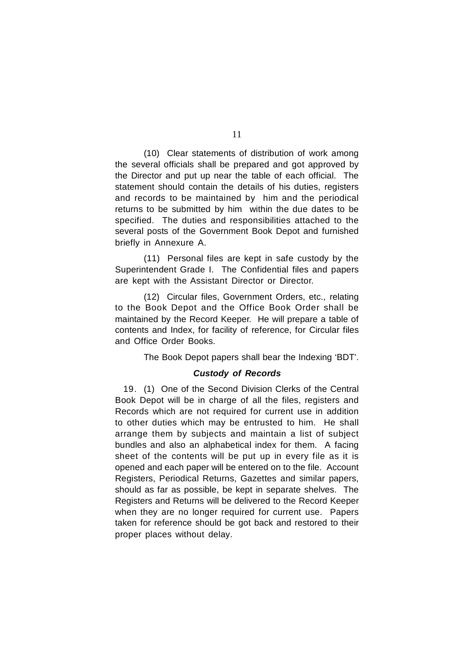(10) Clear statements of distribution of work among the several officials shall be prepared and got approved by the Director and put up near the table of each official. The statement should contain the details of his duties, registers and records to be maintained by him and the periodical returns to be submitted by him within the due dates to be specified. The duties and responsibilities attached to the several posts of the Government Book Depot and furnished briefly in Annexure A.

(11) Personal files are kept in safe custody by the Superintendent Grade I. The Confidential files and papers are kept with the Assistant Director or Director.

(12) Circular files, Government Orders, etc., relating to the Book Depot and the Office Book Order shall be maintained by the Record Keeper. He will prepare a table of contents and Index, for facility of reference, for Circular files and Office Order Books.

The Book Depot papers shall bear the Indexing 'BDT'.

# *Custody of Records*

19. (1) One of the Second Division Clerks of the Central Book Depot will be in charge of all the files, registers and Records which are not required for current use in addition to other duties which may be entrusted to him. He shall arrange them by subjects and maintain a list of subject bundles and also an alphabetical index for them. A facing sheet of the contents will be put up in every file as it is opened and each paper will be entered on to the file. Account Registers, Periodical Returns, Gazettes and similar papers, should as far as possible, be kept in separate shelves. The Registers and Returns will be delivered to the Record Keeper when they are no longer required for current use. Papers taken for reference should be got back and restored to their proper places without delay.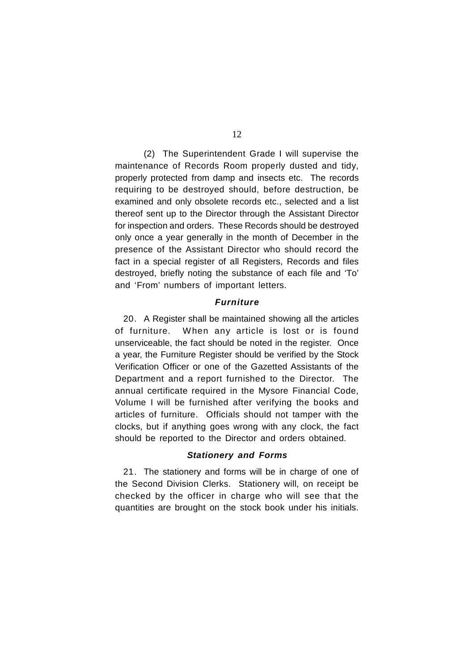(2) The Superintendent Grade I will supervise the maintenance of Records Room properly dusted and tidy, properly protected from damp and insects etc. The records requiring to be destroyed should, before destruction, be examined and only obsolete records etc., selected and a list thereof sent up to the Director through the Assistant Director for inspection and orders. These Records should be destroyed only once a year generally in the month of December in the presence of the Assistant Director who should record the fact in a special register of all Registers, Records and files destroyed, briefly noting the substance of each file and 'To' and 'From' numbers of important letters.

# *Furniture*

20. A Register shall be maintained showing all the articles of furniture. When any article is lost or is found unserviceable, the fact should be noted in the register. Once a year, the Furniture Register should be verified by the Stock Verification Officer or one of the Gazetted Assistants of the Department and a report furnished to the Director. The annual certificate required in the Mysore Financial Code, Volume I will be furnished after verifying the books and articles of furniture. Officials should not tamper with the clocks, but if anything goes wrong with any clock, the fact should be reported to the Director and orders obtained.

# *Stationery and Forms*

21. The stationery and forms will be in charge of one of the Second Division Clerks. Stationery will, on receipt be checked by the officer in charge who will see that the quantities are brought on the stock book under his initials.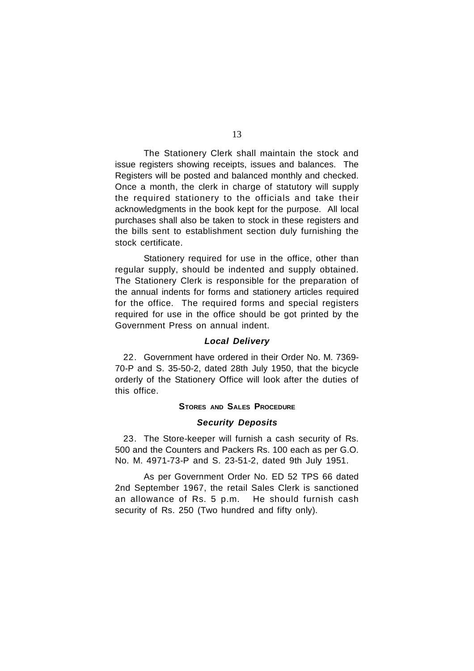The Stationery Clerk shall maintain the stock and issue registers showing receipts, issues and balances. The Registers will be posted and balanced monthly and checked. Once a month, the clerk in charge of statutory will supply the required stationery to the officials and take their acknowledgments in the book kept for the purpose. All local purchases shall also be taken to stock in these registers and the bills sent to establishment section duly furnishing the stock certificate.

Stationery required for use in the office, other than regular supply, should be indented and supply obtained. The Stationery Clerk is responsible for the preparation of the annual indents for forms and stationery articles required for the office. The required forms and special registers required for use in the office should be got printed by the Government Press on annual indent.

## *Local Delivery*

22. Government have ordered in their Order No. M. 7369- 70-P and S. 35-50-2, dated 28th July 1950, that the bicycle orderly of the Stationery Office will look after the duties of this office.

# **STORES AND SALES PROCEDURE**

# *Security Deposits*

23. The Store-keeper will furnish a cash security of Rs. 500 and the Counters and Packers Rs. 100 each as per G.O. No. M. 4971-73-P and S. 23-51-2, dated 9th July 1951.

As per Government Order No. ED 52 TPS 66 dated 2nd September 1967, the retail Sales Clerk is sanctioned an allowance of Rs. 5 p.m. He should furnish cash security of Rs. 250 (Two hundred and fifty only).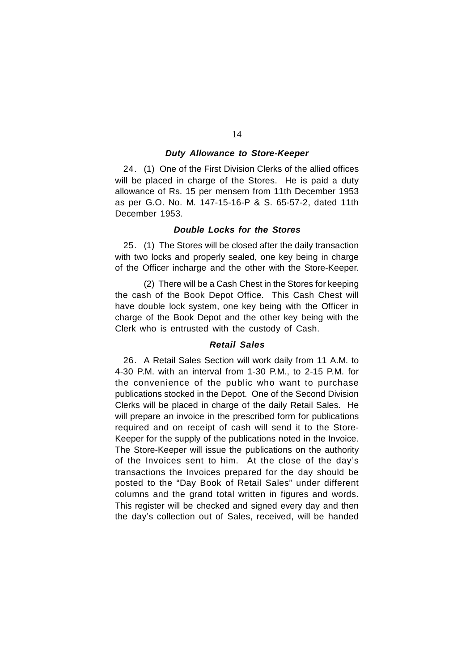# *Duty Allowance to Store-Keeper*

24. (1) One of the First Division Clerks of the allied offices will be placed in charge of the Stores. He is paid a duty allowance of Rs. 15 per mensem from 11th December 1953 as per G.O. No. M. 147-15-16-P & S. 65-57-2, dated 11th December 1953.

# *Double Locks for the Stores*

25. (1) The Stores will be closed after the daily transaction with two locks and properly sealed, one key being in charge of the Officer incharge and the other with the Store-Keeper.

(2) There will be a Cash Chest in the Stores for keeping the cash of the Book Depot Office. This Cash Chest will have double lock system, one key being with the Officer in charge of the Book Depot and the other key being with the Clerk who is entrusted with the custody of Cash.

# *Retail Sales*

26. A Retail Sales Section will work daily from 11 A.M. to 4-30 P.M. with an interval from 1-30 P.M., to 2-15 P.M. for the convenience of the public who want to purchase publications stocked in the Depot. One of the Second Division Clerks will be placed in charge of the daily Retail Sales. He will prepare an invoice in the prescribed form for publications required and on receipt of cash will send it to the Store-Keeper for the supply of the publications noted in the Invoice. The Store-Keeper will issue the publications on the authority of the Invoices sent to him. At the close of the day's transactions the Invoices prepared for the day should be posted to the "Day Book of Retail Sales" under different columns and the grand total written in figures and words. This register will be checked and signed every day and then the day's collection out of Sales, received, will be handed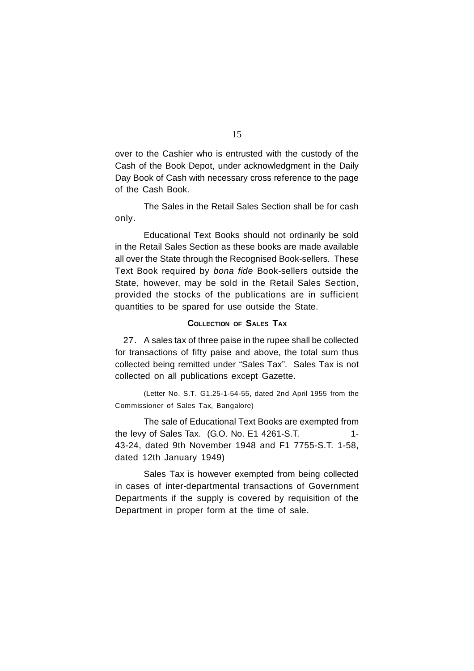over to the Cashier who is entrusted with the custody of the Cash of the Book Depot, under acknowledgment in the Daily Day Book of Cash with necessary cross reference to the page of the Cash Book.

The Sales in the Retail Sales Section shall be for cash only.

Educational Text Books should not ordinarily be sold in the Retail Sales Section as these books are made available all over the State through the Recognised Book-sellers. These Text Book required by *bona fide* Book-sellers outside the State, however, may be sold in the Retail Sales Section, provided the stocks of the publications are in sufficient quantities to be spared for use outside the State.

# **COLLECTION OF SALES TAX**

27. A sales tax of three paise in the rupee shall be collected for transactions of fifty paise and above, the total sum thus collected being remitted under "Sales Tax". Sales Tax is not collected on all publications except Gazette.

(Letter No. S.T. G1.25-1-54-55, dated 2nd April 1955 from the Commissioner of Sales Tax, Bangalore)

The sale of Educational Text Books are exempted from the levy of Sales Tax.  $(G.O. No. E1 4261-S.T.$ 43-24, dated 9th November 1948 and F1 7755-S.T. 1-58, dated 12th January 1949)

Sales Tax is however exempted from being collected in cases of inter-departmental transactions of Government Departments if the supply is covered by requisition of the Department in proper form at the time of sale.

15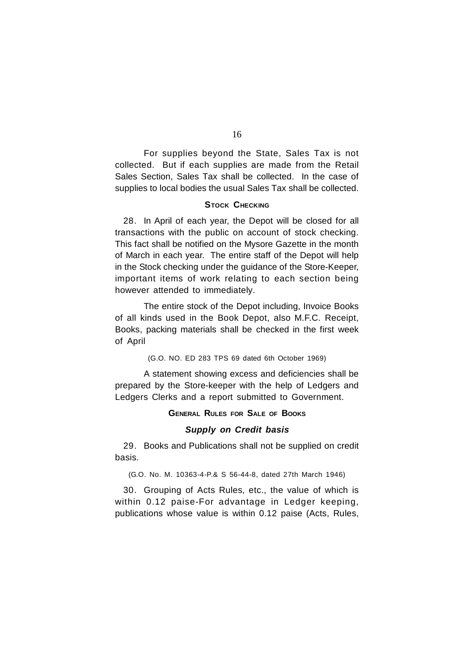For supplies beyond the State, Sales Tax is not collected. But if each supplies are made from the Retail Sales Section, Sales Tax shall be collected. In the case of supplies to local bodies the usual Sales Tax shall be collected.

# **STOCK CHECKING**

28. In April of each year, the Depot will be closed for all transactions with the public on account of stock checking. This fact shall be notified on the Mysore Gazette in the month of March in each year. The entire staff of the Depot will help in the Stock checking under the guidance of the Store-Keeper, important items of work relating to each section being however attended to immediately.

The entire stock of the Depot including, Invoice Books of all kinds used in the Book Depot, also M.F.C. Receipt, Books, packing materials shall be checked in the first week of April

(G.O. NO. ED 283 TPS 69 dated 6th October 1969)

A statement showing excess and deficiencies shall be prepared by the Store-keeper with the help of Ledgers and Ledgers Clerks and a report submitted to Government.

# **GENERAL RULES FOR SALE OF BOOKS**

# *Supply on Credit basis*

29. Books and Publications shall not be supplied on credit basis.

(G.O. No. M. 10363-4-P.& S 56-44-8, dated 27th March 1946)

30. Grouping of Acts Rules, etc., the value of which is within 0.12 paise-For advantage in Ledger keeping, publications whose value is within 0.12 paise (Acts, Rules,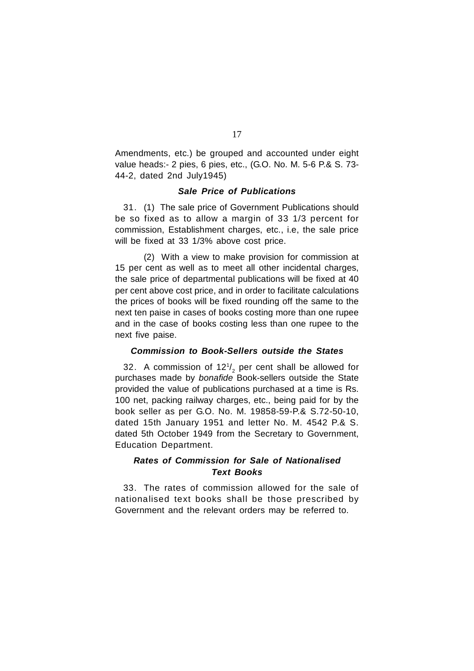Amendments, etc.) be grouped and accounted under eight value heads:- 2 pies, 6 pies, etc., (G.O. No. M. 5-6 P.& S. 73- 44-2, dated 2nd July1945)

# *Sale Price of Publications*

31. (1) The sale price of Government Publications should be so fixed as to allow a margin of 33 1/3 percent for commission, Establishment charges, etc., i.e, the sale price will be fixed at 33 1/3% above cost price.

(2) With a view to make provision for commission at 15 per cent as well as to meet all other incidental charges, the sale price of departmental publications will be fixed at 40 per cent above cost price, and in order to facilitate calculations the prices of books will be fixed rounding off the same to the next ten paise in cases of books costing more than one rupee and in the case of books costing less than one rupee to the next five paise.

# *Commission to Book-Sellers outside the States*

32. A commission of 12 $\mathrm{^{1}/_{2}}$  per cent shall be allowed for purchases made by *bonafide* Book-sellers outside the State provided the value of publications purchased at a time is Rs. 100 net, packing railway charges, etc., being paid for by the book seller as per G.O. No. M. 19858-59-P.& S.72-50-10, dated 15th January 1951 and letter No. M. 4542 P.& S. dated 5th October 1949 from the Secretary to Government, Education Department.

# *Rates of Commission for Sale of Nationalised Text Books*

33. The rates of commission allowed for the sale of nationalised text books shall be those prescribed by Government and the relevant orders may be referred to.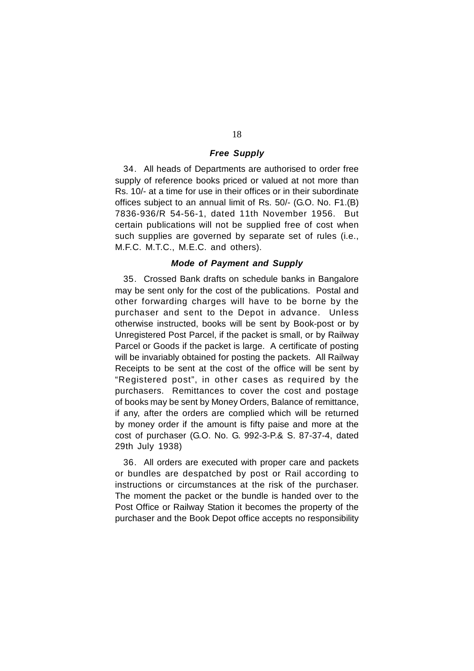# *Free Supply*

34. All heads of Departments are authorised to order free supply of reference books priced or valued at not more than Rs. 10/- at a time for use in their offices or in their subordinate offices subject to an annual limit of Rs. 50/- (G.O. No. F1.(B) 7836-936/R 54-56-1, dated 11th November 1956. But certain publications will not be supplied free of cost when such supplies are governed by separate set of rules (i.e., M.F.C. M.T.C., M.E.C. and others).

# *Mode of Payment and Supply*

35. Crossed Bank drafts on schedule banks in Bangalore may be sent only for the cost of the publications. Postal and other forwarding charges will have to be borne by the purchaser and sent to the Depot in advance. Unless otherwise instructed, books will be sent by Book-post or by Unregistered Post Parcel, if the packet is small, or by Railway Parcel or Goods if the packet is large. A certificate of posting will be invariably obtained for posting the packets. All Railway Receipts to be sent at the cost of the office will be sent by "Registered post", in other cases as required by the purchasers. Remittances to cover the cost and postage of books may be sent by Money Orders, Balance of remittance, if any, after the orders are complied which will be returned by money order if the amount is fifty paise and more at the cost of purchaser (G.O. No. G. 992-3-P.& S. 87-37-4, dated 29th July 1938)

36. All orders are executed with proper care and packets or bundles are despatched by post or Rail according to instructions or circumstances at the risk of the purchaser. The moment the packet or the bundle is handed over to the Post Office or Railway Station it becomes the property of the purchaser and the Book Depot office accepts no responsibility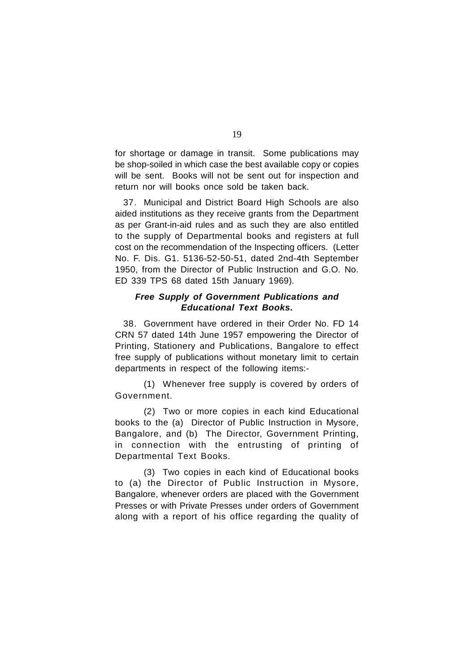for shortage or damage in transit. Some publications may be shop-soiled in which case the best available copy or copies will be sent. Books will not be sent out for inspection and return nor will books once sold be taken back.

37. Municipal and District Board High Schools are also aided institutions as they receive grants from the Department as per Grant-in-aid rules and as such they are also entitled to the supply of Departmental books and registers at full cost on the recommendation of the Inspecting officers. (Letter No. F. Dis. G1. 5136-52-50-51, dated 2nd-4th September 1950, from the Director of Public Instruction and G.O. No. ED 339 TPS 68 dated 15th January 1969).

# *Free Supply of Government Publications and Educational Text Books.*

38. Government have ordered in their Order No. FD 14 CRN 57 dated 14th June 1957 empowering the Director of Printing, Stationery and Publications, Bangalore to effect free supply of publications without monetary limit to certain departments in respect of the following items:-

(1) Whenever free supply is covered by orders of Government.

(2) Two or more copies in each kind Educational books to the (a) Director of Public Instruction in Mysore, Bangalore, and (b) The Director, Government Printing, in connection with the entrusting of printing of Departmental Text Books.

(3) Two copies in each kind of Educational books to (a) the Director of Public Instruction in Mysore, Bangalore, whenever orders are placed with the Government Presses or with Private Presses under orders of Government along with a report of his office regarding the quality of

19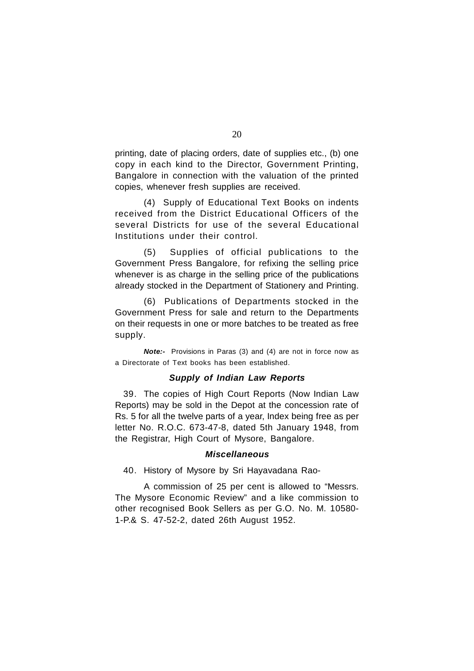printing, date of placing orders, date of supplies etc., (b) one copy in each kind to the Director, Government Printing, Bangalore in connection with the valuation of the printed copies, whenever fresh supplies are received.

(4) Supply of Educational Text Books on indents received from the District Educational Officers of the several Districts for use of the several Educational Institutions under their control.

(5) Supplies of official publications to the Government Press Bangalore, for refixing the selling price whenever is as charge in the selling price of the publications already stocked in the Department of Stationery and Printing.

(6) Publications of Departments stocked in the Government Press for sale and return to the Departments on their requests in one or more batches to be treated as free supply.

*Note:-* Provisions in Paras (3) and (4) are not in force now as a Directorate of Text books has been established.

# *Supply of Indian Law Reports*

39. The copies of High Court Reports (Now Indian Law Reports) may be sold in the Depot at the concession rate of Rs. 5 for all the twelve parts of a year, Index being free as per letter No. R.O.C. 673-47-8, dated 5th January 1948, from the Registrar, High Court of Mysore, Bangalore.

# *Miscellaneous*

40. History of Mysore by Sri Hayavadana Rao-

A commission of 25 per cent is allowed to "Messrs. The Mysore Economic Review" and a like commission to other recognised Book Sellers as per G.O. No. M. 10580- 1-P.& S. 47-52-2, dated 26th August 1952.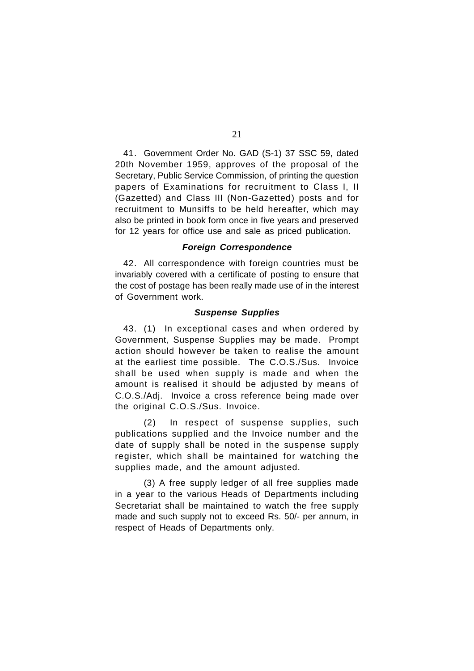41. Government Order No. GAD (S-1) 37 SSC 59, dated 20th November 1959, approves of the proposal of the Secretary, Public Service Commission, of printing the question papers of Examinations for recruitment to Class I, II (Gazetted) and Class III (Non-Gazetted) posts and for recruitment to Munsiffs to be held hereafter, which may also be printed in book form once in five years and preserved for 12 years for office use and sale as priced publication.

# *Foreign Correspondence*

42. All correspondence with foreign countries must be invariably covered with a certificate of posting to ensure that the cost of postage has been really made use of in the interest of Government work.

# *Suspense Supplies*

43. (1) In exceptional cases and when ordered by Government, Suspense Supplies may be made. Prompt action should however be taken to realise the amount at the earliest time possible. The C.O.S./Sus. Invoice shall be used when supply is made and when the amount is realised it should be adjusted by means of C.O.S./Adj. Invoice a cross reference being made over the original C.O.S./Sus. Invoice.

(2) In respect of suspense supplies, such publications supplied and the Invoice number and the date of supply shall be noted in the suspense supply register, which shall be maintained for watching the supplies made, and the amount adjusted.

(3) A free supply ledger of all free supplies made in a year to the various Heads of Departments including Secretariat shall be maintained to watch the free supply made and such supply not to exceed Rs. 50/- per annum, in respect of Heads of Departments only.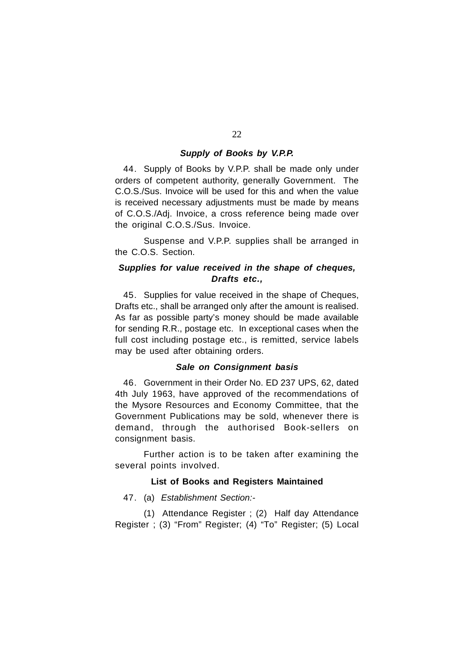# *Supply of Books by V.P.P.*

44. Supply of Books by V.P.P. shall be made only under orders of competent authority, generally Government. The C.O.S./Sus. Invoice will be used for this and when the value is received necessary adjustments must be made by means of C.O.S./Adj. Invoice, a cross reference being made over the original C.O.S./Sus. Invoice.

Suspense and V.P.P. supplies shall be arranged in the C.O.S. Section.

# *Supplies for value received in the shape of cheques, Drafts etc.,*

45. Supplies for value received in the shape of Cheques, Drafts etc., shall be arranged only after the amount is realised. As far as possible party's money should be made available for sending R.R., postage etc. In exceptional cases when the full cost including postage etc., is remitted, service labels may be used after obtaining orders.

# *Sale on Consignment basis*

46. Government in their Order No. ED 237 UPS, 62, dated 4th July 1963, have approved of the recommendations of the Mysore Resources and Economy Committee, that the Government Publications may be sold, whenever there is demand, through the authorised Book-sellers on consignment basis.

Further action is to be taken after examining the several points involved.

# **List of Books and Registers Maintained**

47. (a) *Establishment Section:-*

(1) Attendance Register ; (2) Half day Attendance Register ; (3) "From" Register; (4) "To" Register; (5) Local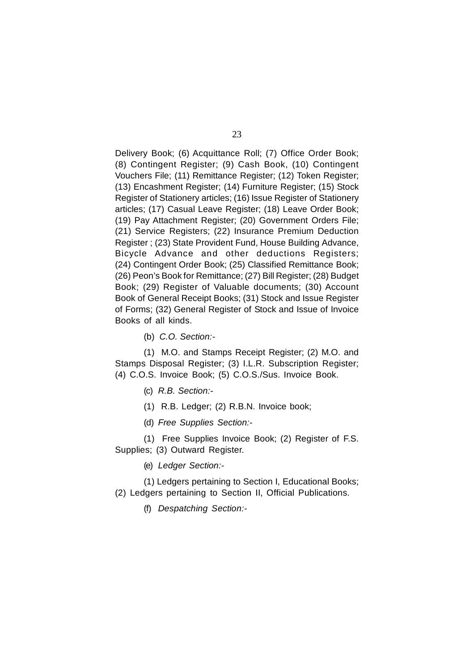Delivery Book; (6) Acquittance Roll; (7) Office Order Book; (8) Contingent Register; (9) Cash Book, (10) Contingent Vouchers File; (11) Remittance Register; (12) Token Register; (13) Encashment Register; (14) Furniture Register; (15) Stock Register of Stationery articles; (16) Issue Register of Stationery articles; (17) Casual Leave Register; (18) Leave Order Book; (19) Pay Attachment Register; (20) Government Orders File; (21) Service Registers; (22) Insurance Premium Deduction Register ; (23) State Provident Fund, House Building Advance, Bicycle Advance and other deductions Registers; (24) Contingent Order Book; (25) Classified Remittance Book; (26) Peon's Book for Remittance; (27) Bill Register; (28) Budget Book; (29) Register of Valuable documents; (30) Account Book of General Receipt Books; (31) Stock and Issue Register of Forms; (32) General Register of Stock and Issue of Invoice Books of all kinds.

(b) *C.O. Section:-*

(1) M.O. and Stamps Receipt Register; (2) M.O. and Stamps Disposal Register; (3) I.L.R. Subscription Register; (4) C.O.S. Invoice Book; (5) C.O.S./Sus. Invoice Book.

(c) *R.B. Section:-*

(1) R.B. Ledger; (2) R.B.N. Invoice book;

(d) *Free Supplies Section:-*

(1) Free Supplies Invoice Book; (2) Register of F.S. Supplies; (3) Outward Register.

(e) *Ledger Section:-*

(1) Ledgers pertaining to Section I, Educational Books; (2) Ledgers pertaining to Section II, Official Publications.

(f) *Despatching Section:-*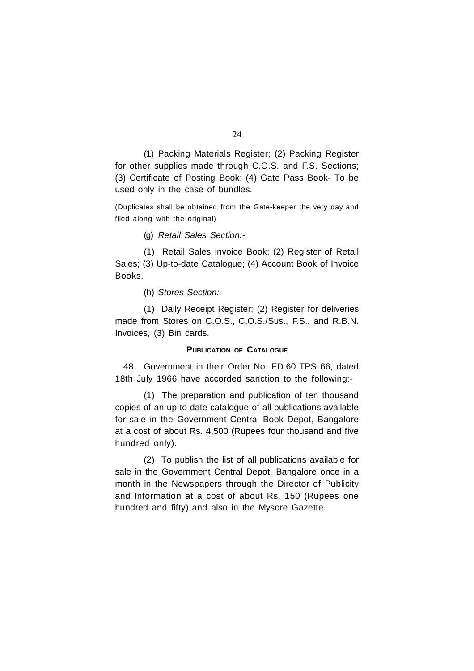(1) Packing Materials Register; (2) Packing Register for other supplies made through C.O.S. and F.S. Sections; (3) Certificate of Posting Book; (4) Gate Pass Book- To be used only in the case of bundles.

(Duplicates shall be obtained from the Gate-keeper the very day and filed along with the original)

(g) *Retail Sales Section:-*

(1) Retail Sales Invoice Book; (2) Register of Retail Sales; (3) Up-to-date Catalogue; (4) Account Book of Invoice Books.

(h) *Stores Section:-*

(1) Daily Receipt Register; (2) Register for deliveries made from Stores on C.O.S., C.O.S./Sus., F.S., and R.B.N. Invoices, (3) Bin cards.

# **PUBLICATION OF CATALOGUE**

48. Government in their Order No. ED.60 TPS 66, dated 18th July 1966 have accorded sanction to the following:-

(1) The preparation and publication of ten thousand copies of an up-to-date catalogue of all publications available for sale in the Government Central Book Depot, Bangalore at a cost of about Rs. 4,500 (Rupees four thousand and five hundred only).

(2) To publish the list of all publications available for sale in the Government Central Depot, Bangalore once in a month in the Newspapers through the Director of Publicity and Information at a cost of about Rs. 150 (Rupees one hundred and fifty) and also in the Mysore Gazette.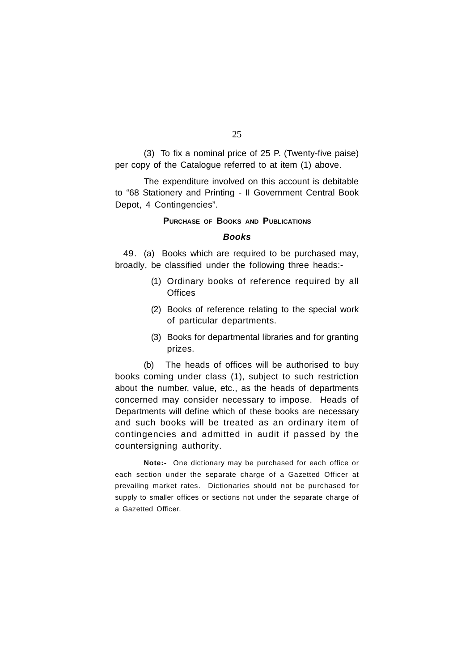(3) To fix a nominal price of 25 P. (Twenty-five paise) per copy of the Catalogue referred to at item (1) above.

The expenditure involved on this account is debitable to "68 Stationery and Printing - II Government Central Book Depot, 4 Contingencies".

#### **PURCHASE OF BOOKS AND PUBLICATIONS**

#### *Books*

49. (a) Books which are required to be purchased may, broadly, be classified under the following three heads:-

- (1) Ordinary books of reference required by all **Offices**
- (2) Books of reference relating to the special work of particular departments.
- (3) Books for departmental libraries and for granting prizes.

(b) The heads of offices will be authorised to buy books coming under class (1), subject to such restriction about the number, value, etc., as the heads of departments concerned may consider necessary to impose. Heads of Departments will define which of these books are necessary and such books will be treated as an ordinary item of contingencies and admitted in audit if passed by the countersigning authority.

**Note:-** One dictionary may be purchased for each office or each section under the separate charge of a Gazetted Officer at prevailing market rates. Dictionaries should not be purchased for supply to smaller offices or sections not under the separate charge of a Gazetted Officer.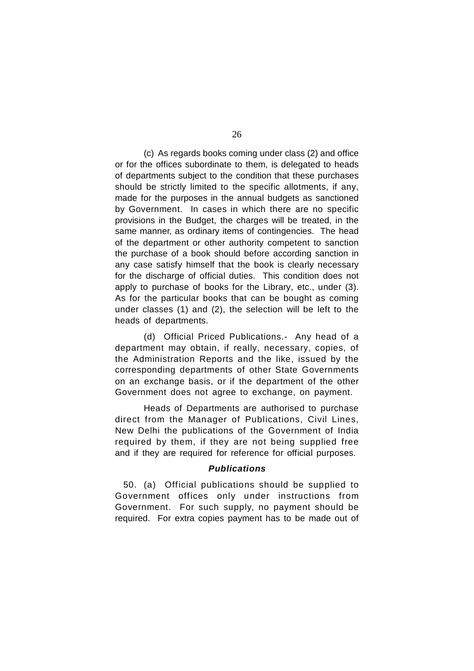(c) As regards books coming under class (2) and office or for the offices subordinate to them, is delegated to heads of departments subject to the condition that these purchases should be strictly limited to the specific allotments, if any, made for the purposes in the annual budgets as sanctioned by Government. In cases in which there are no specific provisions in the Budget, the charges will be treated, in the same manner, as ordinary items of contingencies. The head of the department or other authority competent to sanction the purchase of a book should before according sanction in any case satisfy himself that the book is clearly necessary for the discharge of official duties. This condition does not apply to purchase of books for the Library, etc., under (3). As for the particular books that can be bought as coming under classes (1) and (2), the selection will be left to the heads of departments.

(d) Official Priced Publications.- Any head of a department may obtain, if really, necessary, copies, of the Administration Reports and the like, issued by the corresponding departments of other State Governments on an exchange basis, or if the department of the other Government does not agree to exchange, on payment.

Heads of Departments are authorised to purchase direct from the Manager of Publications, Civil Lines, New Delhi the publications of the Government of India required by them, if they are not being supplied free and if they are required for reference for official purposes.

# *Publications*

50. (a) Official publications should be supplied to Government offices only under instructions from Government. For such supply, no payment should be required. For extra copies payment has to be made out of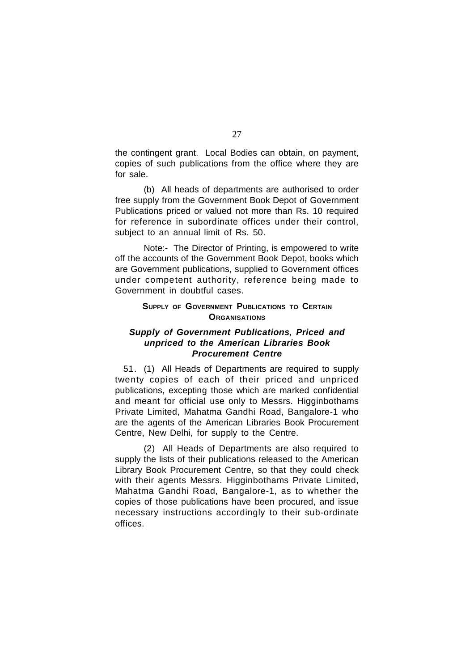the contingent grant. Local Bodies can obtain, on payment, copies of such publications from the office where they are for sale.

(b) All heads of departments are authorised to order free supply from the Government Book Depot of Government Publications priced or valued not more than Rs. 10 required for reference in subordinate offices under their control, subject to an annual limit of Rs. 50.

Note:- The Director of Printing, is empowered to write off the accounts of the Government Book Depot, books which are Government publications, supplied to Government offices under competent authority, reference being made to Government in doubtful cases.

# **SUPPLY OF GOVERNMENT PUBLICATIONS TO CERTAIN ORGANISATIONS**

# *Supply of Government Publications, Priced and unpriced to the American Libraries Book Procurement Centre*

51. (1) All Heads of Departments are required to supply twenty copies of each of their priced and unpriced publications, excepting those which are marked confidential and meant for official use only to Messrs. Higginbothams Private Limited, Mahatma Gandhi Road, Bangalore-1 who are the agents of the American Libraries Book Procurement Centre, New Delhi, for supply to the Centre.

(2) All Heads of Departments are also required to supply the lists of their publications released to the American Library Book Procurement Centre, so that they could check with their agents Messrs. Higginbothams Private Limited, Mahatma Gandhi Road, Bangalore-1, as to whether the copies of those publications have been procured, and issue necessary instructions accordingly to their sub-ordinate offices.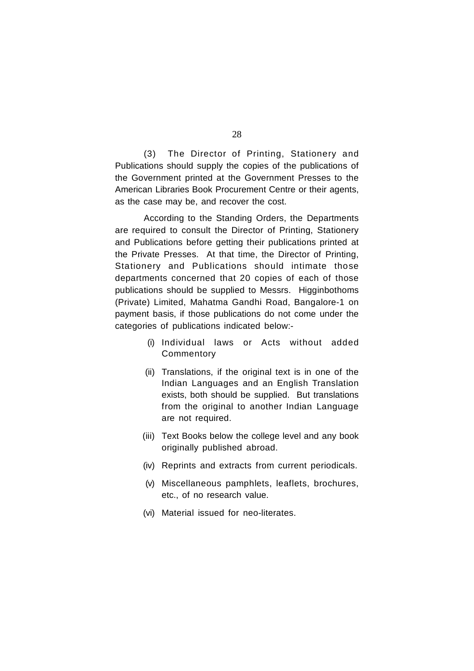(3) The Director of Printing, Stationery and Publications should supply the copies of the publications of the Government printed at the Government Presses to the American Libraries Book Procurement Centre or their agents, as the case may be, and recover the cost.

According to the Standing Orders, the Departments are required to consult the Director of Printing, Stationery and Publications before getting their publications printed at the Private Presses. At that time, the Director of Printing, Stationery and Publications should intimate those departments concerned that 20 copies of each of those publications should be supplied to Messrs. Higginbothoms (Private) Limited, Mahatma Gandhi Road, Bangalore-1 on payment basis, if those publications do not come under the categories of publications indicated below:-

- (i) Individual laws or Acts without added **Commentory**
- (ii) Translations, if the original text is in one of the Indian Languages and an English Translation exists, both should be supplied. But translations from the original to another Indian Language are not required.
- (iii) Text Books below the college level and any book originally published abroad.
- (iv) Reprints and extracts from current periodicals.
- (v) Miscellaneous pamphlets, leaflets, brochures, etc., of no research value.
- (vi) Material issued for neo-literates.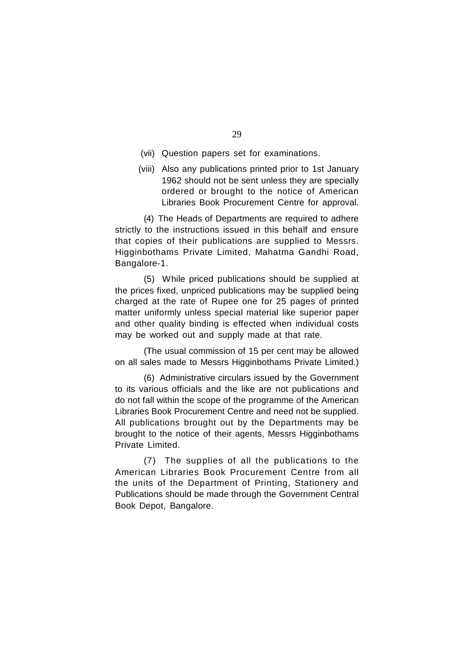- (vii) Question papers set for examinations.
- (viii) Also any publications printed prior to 1st January 1962 should not be sent unless they are specially ordered or brought to the notice of American Libraries Book Procurement Centre for approval.

(4) The Heads of Departments are required to adhere strictly to the instructions issued in this behalf and ensure that copies of their publications are supplied to Messrs. Higginbothams Private Limited, Mahatma Gandhi Road, Bangalore-1.

(5) While priced publications should be supplied at the prices fixed, unpriced publications may be supplied being charged at the rate of Rupee one for 25 pages of printed matter uniformly unless special material like superior paper and other quality binding is effected when individual costs may be worked out and supply made at that rate.

(The usual commission of 15 per cent may be allowed on all sales made to Messrs Higginbothams Private Limited.)

(6) Administrative circulars issued by the Government to its various officials and the like are not publications and do not fall within the scope of the programme of the American Libraries Book Procurement Centre and need not be supplied. All publications brought out by the Departments may be brought to the notice of their agents, Messrs Higginbothams Private Limited.

(7) The supplies of all the publications to the American Libraries Book Procurement Centre from all the units of the Department of Printing, Stationery and Publications should be made through the Government Central Book Depot, Bangalore.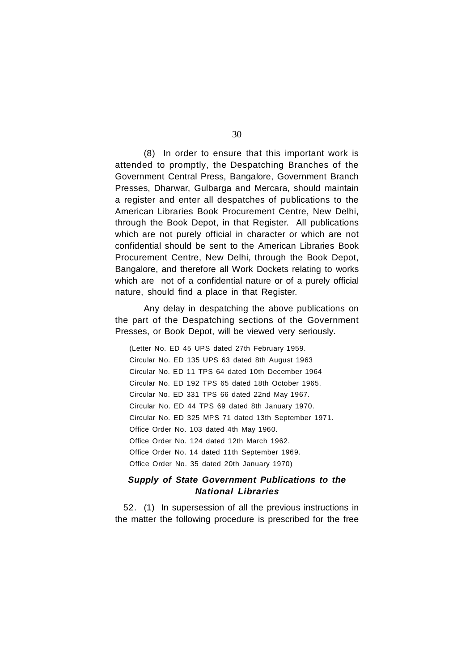(8) In order to ensure that this important work is attended to promptly, the Despatching Branches of the Government Central Press, Bangalore, Government Branch Presses, Dharwar, Gulbarga and Mercara, should maintain a register and enter all despatches of publications to the American Libraries Book Procurement Centre, New Delhi, through the Book Depot, in that Register. All publications which are not purely official in character or which are not confidential should be sent to the American Libraries Book Procurement Centre, New Delhi, through the Book Depot, Bangalore, and therefore all Work Dockets relating to works which are not of a confidential nature or of a purely official nature, should find a place in that Register.

Any delay in despatching the above publications on the part of the Despatching sections of the Government Presses, or Book Depot, will be viewed very seriously.

(Letter No. ED 45 UPS dated 27th February 1959. Circular No. ED 135 UPS 63 dated 8th August 1963 Circular No. ED 11 TPS 64 dated 10th December 1964 Circular No. ED 192 TPS 65 dated 18th October 1965. Circular No. ED 331 TPS 66 dated 22nd May 1967. Circular No. ED 44 TPS 69 dated 8th January 1970. Circular No. ED 325 MPS 71 dated 13th September 1971. Office Order No. 103 dated 4th May 1960. Office Order No. 124 dated 12th March 1962. Office Order No. 14 dated 11th September 1969. Office Order No. 35 dated 20th January 1970)

# *Supply of State Government Publications to the National Libraries*

52. (1) In supersession of all the previous instructions in the matter the following procedure is prescribed for the free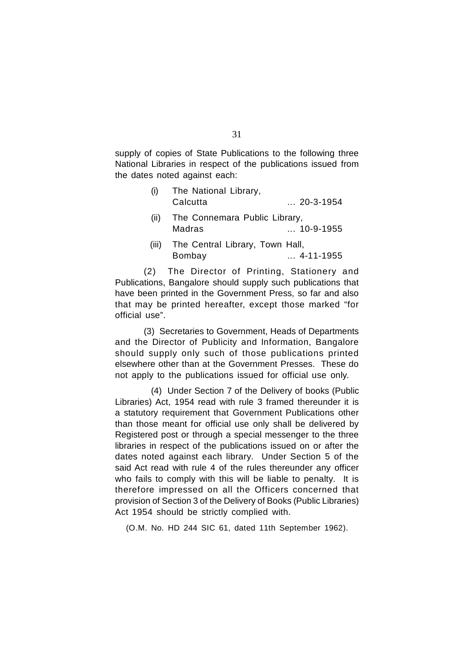supply of copies of State Publications to the following three National Libraries in respect of the publications issued from the dates noted against each:

| The National Library,<br>Calcutta         | $\dots$ 20-3-1954 |
|-------------------------------------------|-------------------|
| The Connemara Public Library,<br>Madras   | $\dots$ 10-9-1955 |
| The Central Library, Town Hall,<br>Bombay | $$ 4-11-1955      |
|                                           |                   |

(2) The Director of Printing, Stationery and Publications, Bangalore should supply such publications that have been printed in the Government Press, so far and also that may be printed hereafter, except those marked "for official use".

(3) Secretaries to Government, Heads of Departments and the Director of Publicity and Information, Bangalore should supply only such of those publications printed elsewhere other than at the Government Presses. These do not apply to the publications issued for official use only.

(4) Under Section 7 of the Delivery of books (Public Libraries) Act, 1954 read with rule 3 framed thereunder it is a statutory requirement that Government Publications other than those meant for official use only shall be delivered by Registered post or through a special messenger to the three libraries in respect of the publications issued on or after the dates noted against each library. Under Section 5 of the said Act read with rule 4 of the rules thereunder any officer who fails to comply with this will be liable to penalty. It is therefore impressed on all the Officers concerned that provision of Section 3 of the Delivery of Books (Public Libraries) Act 1954 should be strictly complied with.

(O.M. No. HD 244 SIC 61, dated 11th September 1962).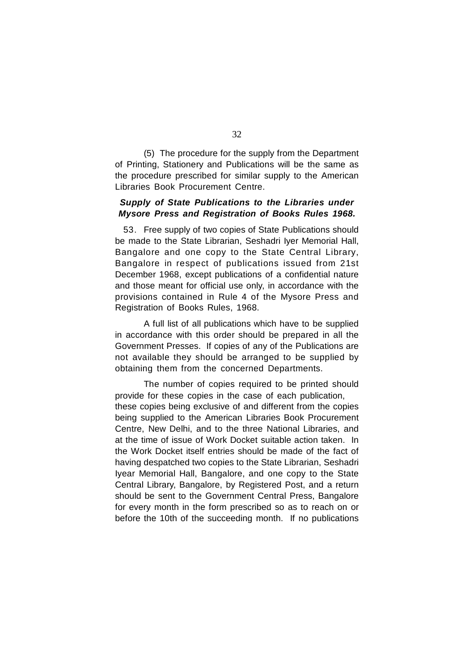(5) The procedure for the supply from the Department of Printing, Stationery and Publications will be the same as the procedure prescribed for similar supply to the American Libraries Book Procurement Centre.

# *Supply of State Publications to the Libraries under Mysore Press and Registration of Books Rules 1968.*

53. Free supply of two copies of State Publications should be made to the State Librarian, Seshadri Iyer Memorial Hall, Bangalore and one copy to the State Central Library, Bangalore in respect of publications issued from 21st December 1968, except publications of a confidential nature and those meant for official use only, in accordance with the provisions contained in Rule 4 of the Mysore Press and Registration of Books Rules, 1968.

A full list of all publications which have to be supplied in accordance with this order should be prepared in all the Government Presses. If copies of any of the Publications are not available they should be arranged to be supplied by obtaining them from the concerned Departments.

The number of copies required to be printed should provide for these copies in the case of each publication, these copies being exclusive of and different from the copies being supplied to the American Libraries Book Procurement Centre, New Delhi, and to the three National Libraries, and at the time of issue of Work Docket suitable action taken. In the Work Docket itself entries should be made of the fact of having despatched two copies to the State Librarian, Seshadri Iyear Memorial Hall, Bangalore, and one copy to the State Central Library, Bangalore, by Registered Post, and a return should be sent to the Government Central Press, Bangalore for every month in the form prescribed so as to reach on or before the 10th of the succeeding month. If no publications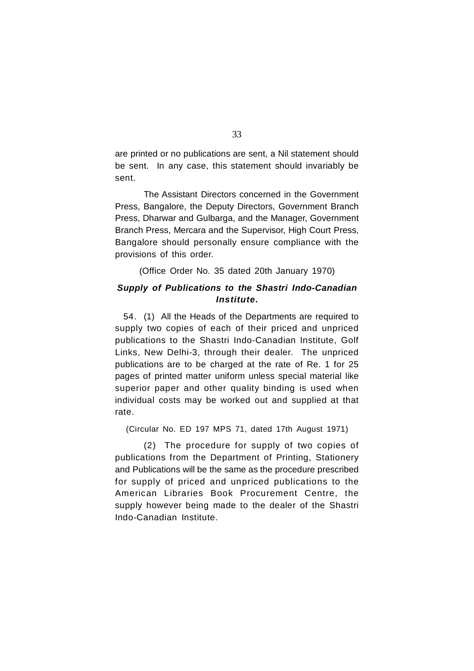are printed or no publications are sent, a Nil statement should be sent. In any case, this statement should invariably be sent.

The Assistant Directors concerned in the Government Press, Bangalore, the Deputy Directors, Government Branch Press, Dharwar and Gulbarga, and the Manager, Government Branch Press, Mercara and the Supervisor, High Court Press, Bangalore should personally ensure compliance with the provisions of this order.

(Office Order No. 35 dated 20th January 1970)

# *Supply of Publications to the Shastri Indo-Canadian Institute.*

54. (1) All the Heads of the Departments are required to supply two copies of each of their priced and unpriced publications to the Shastri Indo-Canadian Institute, Golf Links, New Delhi-3, through their dealer. The unpriced publications are to be charged at the rate of Re. 1 for 25 pages of printed matter uniform unless special material like superior paper and other quality binding is used when individual costs may be worked out and supplied at that rate.

(Circular No. ED 197 MPS 71, dated 17th August 1971)

(2) The procedure for supply of two copies of publications from the Department of Printing, Stationery and Publications will be the same as the procedure prescribed for supply of priced and unpriced publications to the American Libraries Book Procurement Centre, the supply however being made to the dealer of the Shastri Indo-Canadian Institute.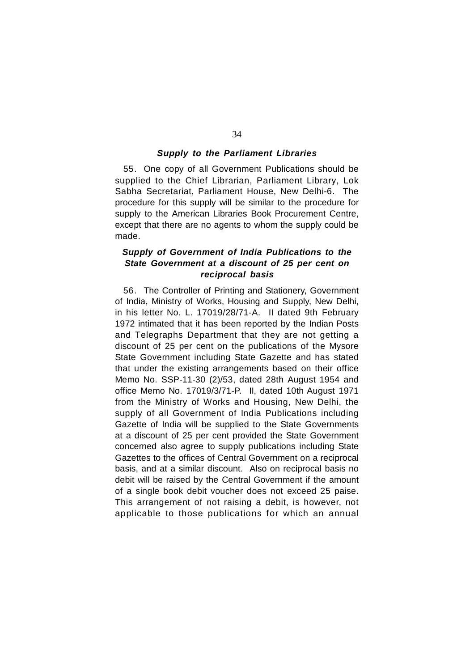# *Supply to the Parliament Libraries*

55. One copy of all Government Publications should be supplied to the Chief Librarian, Parliament Library, Lok Sabha Secretariat, Parliament House, New Delhi-6. The procedure for this supply will be similar to the procedure for supply to the American Libraries Book Procurement Centre, except that there are no agents to whom the supply could be made.

# *Supply of Government of India Publications to the State Government at a discount of 25 per cent on reciprocal basis*

56. The Controller of Printing and Stationery, Government of India, Ministry of Works, Housing and Supply, New Delhi, in his letter No. L. 17019/28/71-A. II dated 9th February 1972 intimated that it has been reported by the Indian Posts and Telegraphs Department that they are not getting a discount of 25 per cent on the publications of the Mysore State Government including State Gazette and has stated that under the existing arrangements based on their office Memo No. SSP-11-30 (2)/53, dated 28th August 1954 and office Memo No. 17019/3/71-P. II, dated 10th August 1971 from the Ministry of Works and Housing, New Delhi, the supply of all Government of India Publications including Gazette of India will be supplied to the State Governments at a discount of 25 per cent provided the State Government concerned also agree to supply publications including State Gazettes to the offices of Central Government on a reciprocal basis, and at a similar discount. Also on reciprocal basis no debit will be raised by the Central Government if the amount of a single book debit voucher does not exceed 25 paise. This arrangement of not raising a debit, is however, not applicable to those publications for which an annual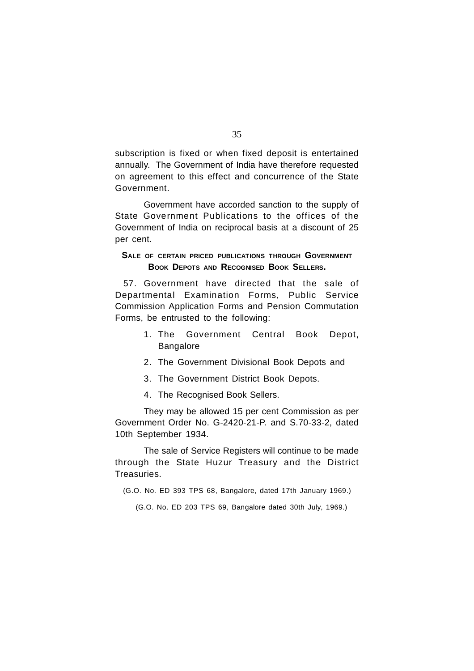subscription is fixed or when fixed deposit is entertained annually. The Government of India have therefore requested on agreement to this effect and concurrence of the State Government.

Government have accorded sanction to the supply of State Government Publications to the offices of the Government of India on reciprocal basis at a discount of 25 per cent.

# **SALE OF CERTAIN PRICED PUBLICATIONS THROUGH GOVERNMENT BOOK DEPOTS AND RECOGNISED BOOK SELLERS.**

57. Government have directed that the sale of Departmental Examination Forms, Public Service Commission Application Forms and Pension Commutation Forms, be entrusted to the following:

- 1. The Government Central Book Depot, **Bangalore**
- 2. The Government Divisional Book Depots and
- 3. The Government District Book Depots.
- 4. The Recognised Book Sellers.

They may be allowed 15 per cent Commission as per Government Order No. G-2420-21-P. and S.70-33-2, dated 10th September 1934.

The sale of Service Registers will continue to be made through the State Huzur Treasury and the District Treasuries.

(G.O. No. ED 393 TPS 68, Bangalore, dated 17th January 1969.)

(G.O. No. ED 203 TPS 69, Bangalore dated 30th July, 1969.)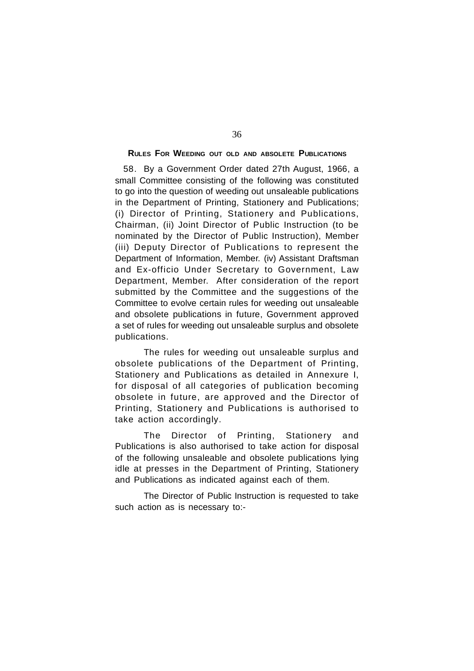# **RULES FOR WEEDING OUT OLD AND ABSOLETE PUBLICATIONS**

58. By a Government Order dated 27th August, 1966, a small Committee consisting of the following was constituted to go into the question of weeding out unsaleable publications in the Department of Printing, Stationery and Publications; (i) Director of Printing, Stationery and Publications, Chairman, (ii) Joint Director of Public Instruction (to be nominated by the Director of Public Instruction), Member (iii) Deputy Director of Publications to represent the Department of Information, Member. (iv) Assistant Draftsman and Ex-officio Under Secretary to Government, Law Department, Member. After consideration of the report submitted by the Committee and the suggestions of the Committee to evolve certain rules for weeding out unsaleable and obsolete publications in future, Government approved a set of rules for weeding out unsaleable surplus and obsolete publications.

The rules for weeding out unsaleable surplus and obsolete publications of the Department of Printing, Stationery and Publications as detailed in Annexure I, for disposal of all categories of publication becoming obsolete in future, are approved and the Director of Printing, Stationery and Publications is authorised to take action accordingly.

The Director of Printing, Stationery and Publications is also authorised to take action for disposal of the following unsaleable and obsolete publications lying idle at presses in the Department of Printing, Stationery and Publications as indicated against each of them.

The Director of Public Instruction is requested to take such action as is necessary to:-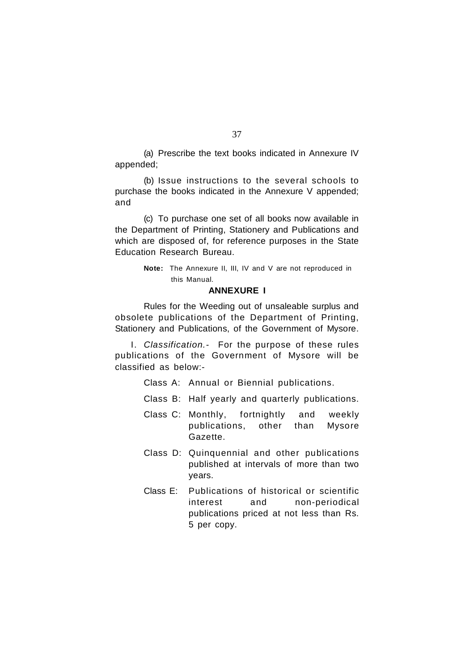(a) Prescribe the text books indicated in Annexure IV appended;

(b) Issue instructions to the several schools to purchase the books indicated in the Annexure V appended; and

(c) To purchase one set of all books now available in the Department of Printing, Stationery and Publications and which are disposed of, for reference purposes in the State Education Research Bureau.

> **Note:** The Annexure II, III, IV and V are not reproduced in this Manual.

# **ANNEXURE I**

Rules for the Weeding out of unsaleable surplus and obsolete publications of the Department of Printing, Stationery and Publications, of the Government of Mysore.

I. *Classification.-* For the purpose of these rules publications of the Government of Mysore will be classified as below:-

- Class A: Annual or Biennial publications.
- Class B: Half yearly and quarterly publications.
- Class C: Monthly, fortnightly and weekly publications, other than Mysore Gazette.
- Class D: Quinquennial and other publications published at intervals of more than two years.
- Class E: Publications of historical or scientific interest and non-periodical publications priced at not less than Rs. 5 per copy.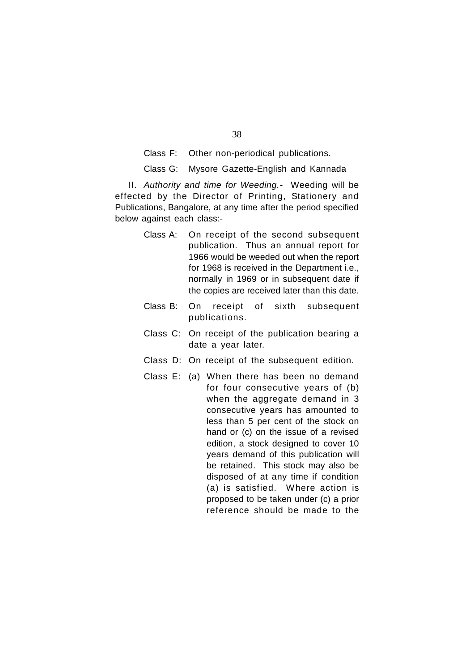Class F: Other non-periodical publications.

Class G: Mysore Gazette-English and Kannada

II. *Authority and time for Weeding.-* Weeding will be effected by the Director of Printing, Stationery and Publications, Bangalore, at any time after the period specified below against each class:-

- Class A: On receipt of the second subsequent publication. Thus an annual report for 1966 would be weeded out when the report for 1968 is received in the Department i.e., normally in 1969 or in subsequent date if the copies are received later than this date.
- Class B: On receipt of sixth subsequent publications.
- Class C: On receipt of the publication bearing a date a year later.
- Class D: On receipt of the subsequent edition.
- Class E: (a) When there has been no demand for four consecutive years of (b) when the aggregate demand in 3 consecutive years has amounted to less than 5 per cent of the stock on hand or (c) on the issue of a revised edition, a stock designed to cover 10 years demand of this publication will be retained. This stock may also be disposed of at any time if condition (a) is satisfied. Where action is proposed to be taken under (c) a prior reference should be made to the

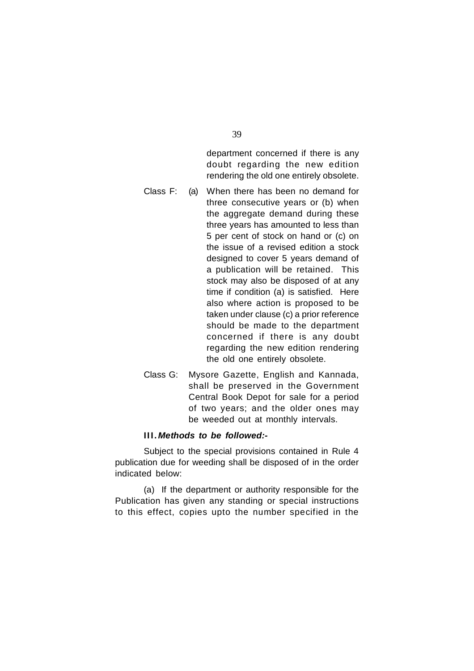department concerned if there is any doubt regarding the new edition rendering the old one entirely obsolete.

- Class F: (a) When there has been no demand for three consecutive years or (b) when the aggregate demand during these three years has amounted to less than 5 per cent of stock on hand or (c) on the issue of a revised edition a stock designed to cover 5 years demand of a publication will be retained. This stock may also be disposed of at any time if condition (a) is satisfied. Here also where action is proposed to be taken under clause (c) a prior reference should be made to the department concerned if there is any doubt regarding the new edition rendering the old one entirely obsolete.
- Class G: Mysore Gazette, English and Kannada, shall be preserved in the Government Central Book Depot for sale for a period of two years; and the older ones may be weeded out at monthly intervals.

# **III.** *Methods to be followed:-*

Subject to the special provisions contained in Rule 4 publication due for weeding shall be disposed of in the order indicated below:

(a) If the department or authority responsible for the Publication has given any standing or special instructions to this effect, copies upto the number specified in the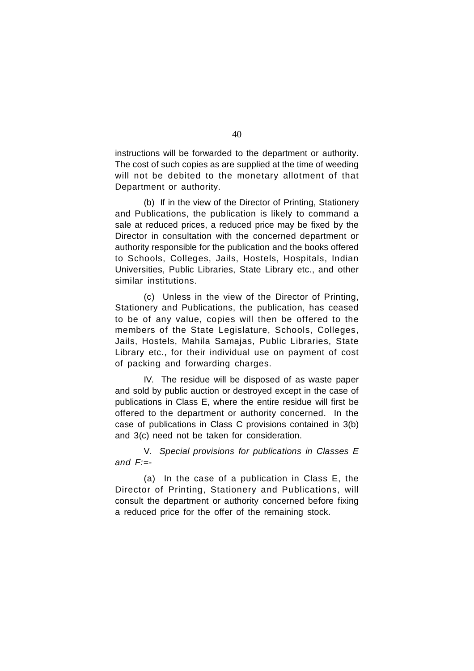instructions will be forwarded to the department or authority. The cost of such copies as are supplied at the time of weeding will not be debited to the monetary allotment of that Department or authority.

(b) If in the view of the Director of Printing, Stationery and Publications, the publication is likely to command a sale at reduced prices, a reduced price may be fixed by the Director in consultation with the concerned department or authority responsible for the publication and the books offered to Schools, Colleges, Jails, Hostels, Hospitals, Indian Universities, Public Libraries, State Library etc., and other similar institutions.

(c) Unless in the view of the Director of Printing, Stationery and Publications, the publication, has ceased to be of any value, copies will then be offered to the members of the State Legislature, Schools, Colleges, Jails, Hostels, Mahila Samajas, Public Libraries, State Library etc., for their individual use on payment of cost of packing and forwarding charges.

IV. The residue will be disposed of as waste paper and sold by public auction or destroyed except in the case of publications in Class E, where the entire residue will first be offered to the department or authority concerned. In the case of publications in Class C provisions contained in 3(b) and 3(c) need not be taken for consideration.

V. *Special provisions for publications in Classes E and F:=-*

(a) In the case of a publication in Class E, the Director of Printing, Stationery and Publications, will consult the department or authority concerned before fixing a reduced price for the offer of the remaining stock.

40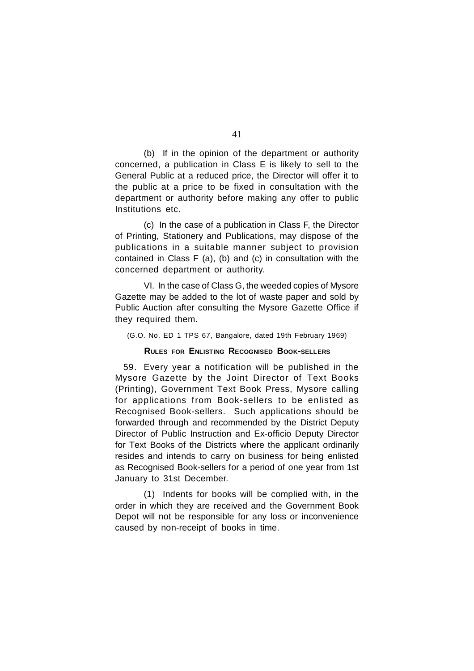(b) If in the opinion of the department or authority concerned, a publication in Class E is likely to sell to the General Public at a reduced price, the Director will offer it to the public at a price to be fixed in consultation with the department or authority before making any offer to public Institutions etc.

(c) In the case of a publication in Class F, the Director of Printing, Stationery and Publications, may dispose of the publications in a suitable manner subject to provision contained in Class F (a), (b) and (c) in consultation with the concerned department or authority.

VI. In the case of Class G, the weeded copies of Mysore Gazette may be added to the lot of waste paper and sold by Public Auction after consulting the Mysore Gazette Office if they required them.

(G.O. No. ED 1 TPS 67, Bangalore, dated 19th February 1969)

### **RULES FOR ENLISTING RECOGNISED BOOK-SELLERS**

59. Every year a notification will be published in the Mysore Gazette by the Joint Director of Text Books (Printing), Government Text Book Press, Mysore calling for applications from Book-sellers to be enlisted as Recognised Book-sellers. Such applications should be forwarded through and recommended by the District Deputy Director of Public Instruction and Ex-officio Deputy Director for Text Books of the Districts where the applicant ordinarily resides and intends to carry on business for being enlisted as Recognised Book-sellers for a period of one year from 1st January to 31st December.

(1) Indents for books will be complied with, in the order in which they are received and the Government Book Depot will not be responsible for any loss or inconvenience caused by non-receipt of books in time.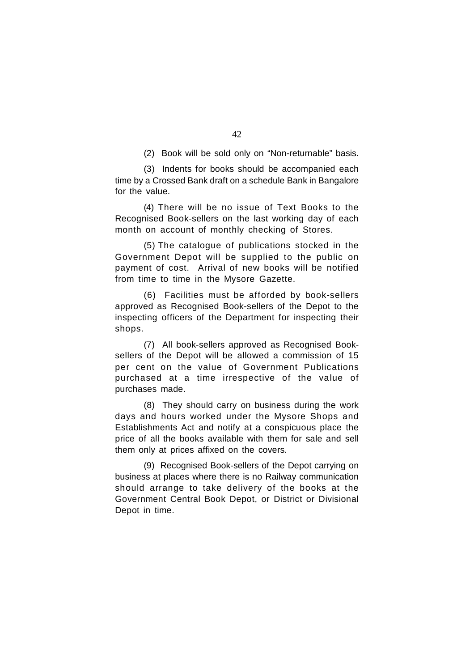(2) Book will be sold only on "Non-returnable" basis.

(3) Indents for books should be accompanied each time by a Crossed Bank draft on a schedule Bank in Bangalore for the value.

(4) There will be no issue of Text Books to the Recognised Book-sellers on the last working day of each month on account of monthly checking of Stores.

(5) The catalogue of publications stocked in the Government Depot will be supplied to the public on payment of cost. Arrival of new books will be notified from time to time in the Mysore Gazette.

(6) Facilities must be afforded by book-sellers approved as Recognised Book-sellers of the Depot to the inspecting officers of the Department for inspecting their shops.

(7) All book-sellers approved as Recognised Booksellers of the Depot will be allowed a commission of 15 per cent on the value of Government Publications purchased at a time irrespective of the value of purchases made.

(8) They should carry on business during the work days and hours worked under the Mysore Shops and Establishments Act and notify at a conspicuous place the price of all the books available with them for sale and sell them only at prices affixed on the covers.

(9) Recognised Book-sellers of the Depot carrying on business at places where there is no Railway communication should arrange to take delivery of the books at the Government Central Book Depot, or District or Divisional Depot in time.

42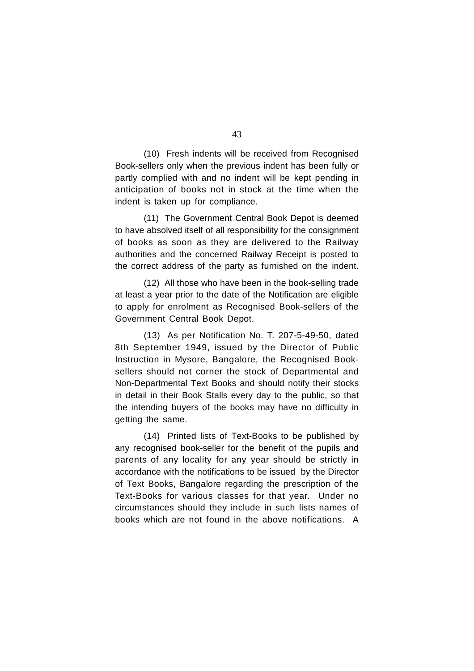(10) Fresh indents will be received from Recognised Book-sellers only when the previous indent has been fully or partly complied with and no indent will be kept pending in anticipation of books not in stock at the time when the indent is taken up for compliance.

(11) The Government Central Book Depot is deemed to have absolved itself of all responsibility for the consignment of books as soon as they are delivered to the Railway authorities and the concerned Railway Receipt is posted to the correct address of the party as furnished on the indent.

(12) All those who have been in the book-selling trade at least a year prior to the date of the Notification are eligible to apply for enrolment as Recognised Book-sellers of the Government Central Book Depot.

(13) As per Notification No. T. 207-5-49-50, dated 8th September 1949, issued by the Director of Public Instruction in Mysore, Bangalore, the Recognised Booksellers should not corner the stock of Departmental and Non-Departmental Text Books and should notify their stocks in detail in their Book Stalls every day to the public, so that the intending buyers of the books may have no difficulty in getting the same.

(14) Printed lists of Text-Books to be published by any recognised book-seller for the benefit of the pupils and parents of any locality for any year should be strictly in accordance with the notifications to be issued by the Director of Text Books, Bangalore regarding the prescription of the Text-Books for various classes for that year. Under no circumstances should they include in such lists names of books which are not found in the above notifications. A

43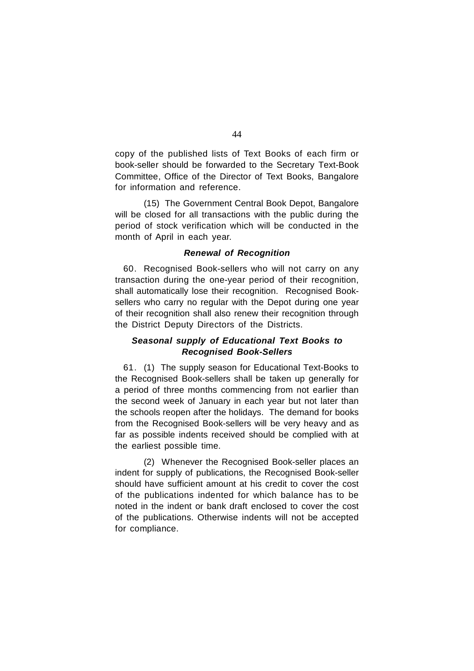copy of the published lists of Text Books of each firm or book-seller should be forwarded to the Secretary Text-Book Committee, Office of the Director of Text Books, Bangalore for information and reference.

(15) The Government Central Book Depot, Bangalore will be closed for all transactions with the public during the period of stock verification which will be conducted in the month of April in each year.

# *Renewal of Recognition*

60. Recognised Book-sellers who will not carry on any transaction during the one-year period of their recognition, shall automatically lose their recognition. Recognised Booksellers who carry no regular with the Depot during one year of their recognition shall also renew their recognition through the District Deputy Directors of the Districts.

# *Seasonal supply of Educational Text Books to Recognised Book-Sellers*

61. (1) The supply season for Educational Text-Books to the Recognised Book-sellers shall be taken up generally for a period of three months commencing from not earlier than the second week of January in each year but not later than the schools reopen after the holidays. The demand for books from the Recognised Book-sellers will be very heavy and as far as possible indents received should be complied with at the earliest possible time.

(2) Whenever the Recognised Book-seller places an indent for supply of publications, the Recognised Book-seller should have sufficient amount at his credit to cover the cost of the publications indented for which balance has to be noted in the indent or bank draft enclosed to cover the cost of the publications. Otherwise indents will not be accepted for compliance.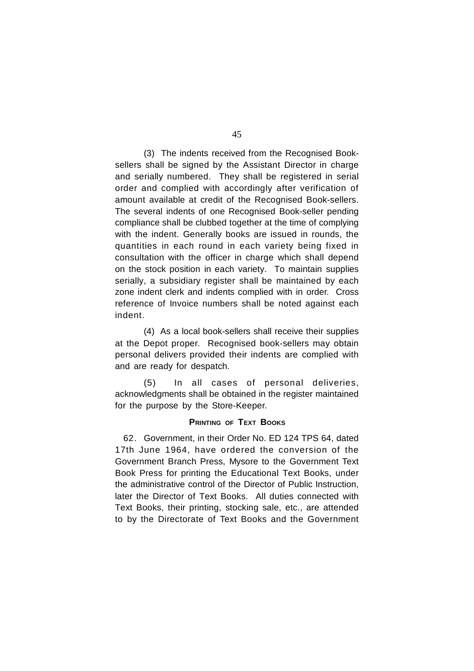(3) The indents received from the Recognised Booksellers shall be signed by the Assistant Director in charge and serially numbered. They shall be registered in serial order and complied with accordingly after verification of amount available at credit of the Recognised Book-sellers. The several indents of one Recognised Book-seller pending compliance shall be clubbed together at the time of complying with the indent. Generally books are issued in rounds, the quantities in each round in each variety being fixed in consultation with the officer in charge which shall depend on the stock position in each variety. To maintain supplies serially, a subsidiary register shall be maintained by each zone indent clerk and indents complied with in order. Cross reference of Invoice numbers shall be noted against each indent.

(4) As a local book-sellers shall receive their supplies at the Depot proper. Recognised book-sellers may obtain personal delivers provided their indents are complied with and are ready for despatch.

(5) In all cases of personal deliveries, acknowledgments shall be obtained in the register maintained for the purpose by the Store-Keeper.

# **PRINTING OF TEXT BOOKS**

62. Government, in their Order No. ED 124 TPS 64, dated 17th June 1964, have ordered the conversion of the Government Branch Press, Mysore to the Government Text Book Press for printing the Educational Text Books, under the administrative control of the Director of Public Instruction, later the Director of Text Books. All duties connected with Text Books, their printing, stocking sale, etc., are attended to by the Directorate of Text Books and the Government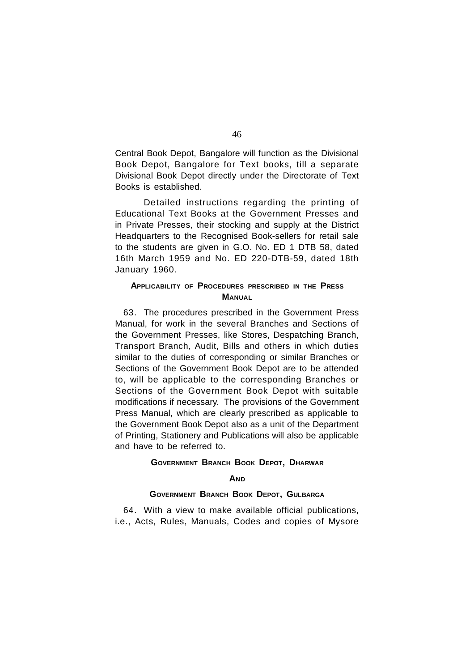Central Book Depot, Bangalore will function as the Divisional Book Depot, Bangalore for Text books, till a separate Divisional Book Depot directly under the Directorate of Text Books is established.

Detailed instructions regarding the printing of Educational Text Books at the Government Presses and in Private Presses, their stocking and supply at the District Headquarters to the Recognised Book-sellers for retail sale to the students are given in G.O. No. ED 1 DTB 58, dated 16th March 1959 and No. ED 220-DTB-59, dated 18th January 1960.

# **APPLICABILITY OF PROCEDURES PRESCRIBED IN THE PRESS MANUAL**

63. The procedures prescribed in the Government Press Manual, for work in the several Branches and Sections of the Government Presses, like Stores, Despatching Branch, Transport Branch, Audit, Bills and others in which duties similar to the duties of corresponding or similar Branches or Sections of the Government Book Depot are to be attended to, will be applicable to the corresponding Branches or Sections of the Government Book Depot with suitable modifications if necessary. The provisions of the Government Press Manual, which are clearly prescribed as applicable to the Government Book Depot also as a unit of the Department of Printing, Stationery and Publications will also be applicable and have to be referred to.

# **GOVERNMENT BRANCH BOOK DEPOT, DHARWAR**

# **AND**

# **GOVERNMENT BRANCH BOOK DEPOT, GULBARGA**

64. With a view to make available official publications, i.e., Acts, Rules, Manuals, Codes and copies of Mysore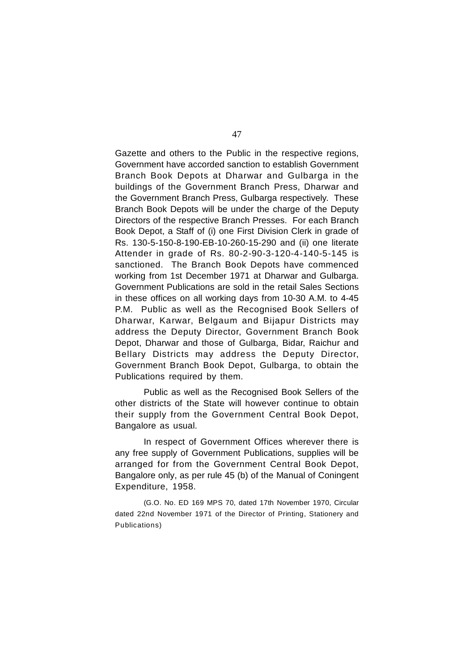Gazette and others to the Public in the respective regions, Government have accorded sanction to establish Government Branch Book Depots at Dharwar and Gulbarga in the buildings of the Government Branch Press, Dharwar and the Government Branch Press, Gulbarga respectively. These Branch Book Depots will be under the charge of the Deputy Directors of the respective Branch Presses. For each Branch Book Depot, a Staff of (i) one First Division Clerk in grade of Rs. 130-5-150-8-190-EB-10-260-15-290 and (ii) one literate Attender in grade of Rs. 80-2-90-3-120-4-140-5-145 is sanctioned. The Branch Book Depots have commenced working from 1st December 1971 at Dharwar and Gulbarga. Government Publications are sold in the retail Sales Sections in these offices on all working days from 10-30 A.M. to 4-45 P.M. Public as well as the Recognised Book Sellers of Dharwar, Karwar, Belgaum and Bijapur Districts may address the Deputy Director, Government Branch Book Depot, Dharwar and those of Gulbarga, Bidar, Raichur and Bellary Districts may address the Deputy Director, Government Branch Book Depot, Gulbarga, to obtain the Publications required by them.

Public as well as the Recognised Book Sellers of the other districts of the State will however continue to obtain their supply from the Government Central Book Depot, Bangalore as usual.

In respect of Government Offices wherever there is any free supply of Government Publications, supplies will be arranged for from the Government Central Book Depot, Bangalore only, as per rule 45 (b) of the Manual of Coningent Expenditure, 1958.

(G.O. No. ED 169 MPS 70, dated 17th November 1970, Circular dated 22nd November 1971 of the Director of Printing, Stationery and Publications)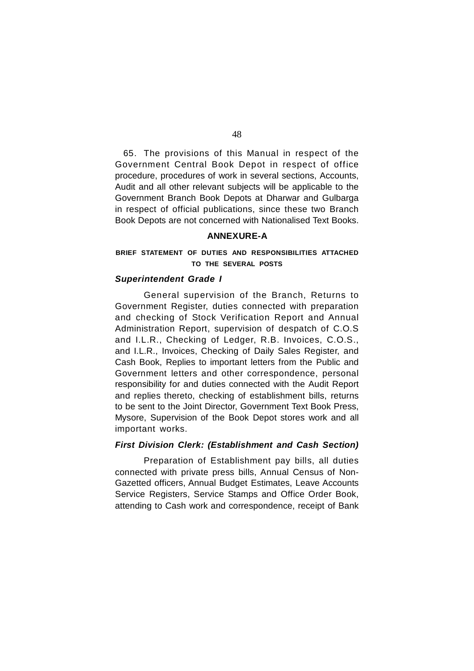65. The provisions of this Manual in respect of the Government Central Book Depot in respect of office procedure, procedures of work in several sections, Accounts, Audit and all other relevant subjects will be applicable to the Government Branch Book Depots at Dharwar and Gulbarga in respect of official publications, since these two Branch Book Depots are not concerned with Nationalised Text Books.

# **ANNEXURE-A**

# **BRIEF STATEMENT OF DUTIES AND RESPONSIBILITIES ATTACHED TO THE SEVERAL POSTS**

# *Superintendent Grade I*

General supervision of the Branch, Returns to Government Register, duties connected with preparation and checking of Stock Verification Report and Annual Administration Report, supervision of despatch of C.O.S and I.L.R., Checking of Ledger, R.B. Invoices, C.O.S., and I.L.R., Invoices, Checking of Daily Sales Register, and Cash Book, Replies to important letters from the Public and Government letters and other correspondence, personal responsibility for and duties connected with the Audit Report and replies thereto, checking of establishment bills, returns to be sent to the Joint Director, Government Text Book Press, Mysore, Supervision of the Book Depot stores work and all important works.

# *First Division Clerk: (Establishment and Cash Section)*

Preparation of Establishment pay bills, all duties connected with private press bills, Annual Census of Non-Gazetted officers, Annual Budget Estimates, Leave Accounts Service Registers, Service Stamps and Office Order Book, attending to Cash work and correspondence, receipt of Bank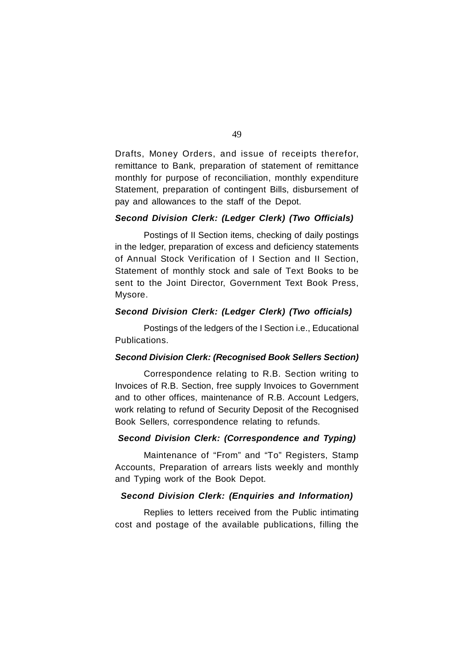Drafts, Money Orders, and issue of receipts therefor, remittance to Bank, preparation of statement of remittance monthly for purpose of reconciliation, monthly expenditure Statement, preparation of contingent Bills, disbursement of pay and allowances to the staff of the Depot.

# *Second Division Clerk: (Ledger Clerk) (Two Officials)*

Postings of II Section items, checking of daily postings in the ledger, preparation of excess and deficiency statements of Annual Stock Verification of I Section and II Section, Statement of monthly stock and sale of Text Books to be sent to the Joint Director, Government Text Book Press, Mysore.

# *Second Division Clerk: (Ledger Clerk) (Two officials)*

Postings of the ledgers of the I Section i.e., Educational Publications.

# *Second Division Clerk: (Recognised Book Sellers Section)*

Correspondence relating to R.B. Section writing to Invoices of R.B. Section, free supply Invoices to Government and to other offices, maintenance of R.B. Account Ledgers, work relating to refund of Security Deposit of the Recognised Book Sellers, correspondence relating to refunds.

# *Second Division Clerk: (Correspondence and Typing)*

Maintenance of "From" and "To" Registers, Stamp Accounts, Preparation of arrears lists weekly and monthly and Typing work of the Book Depot.

# *Second Division Clerk: (Enquiries and Information)*

Replies to letters received from the Public intimating cost and postage of the available publications, filling the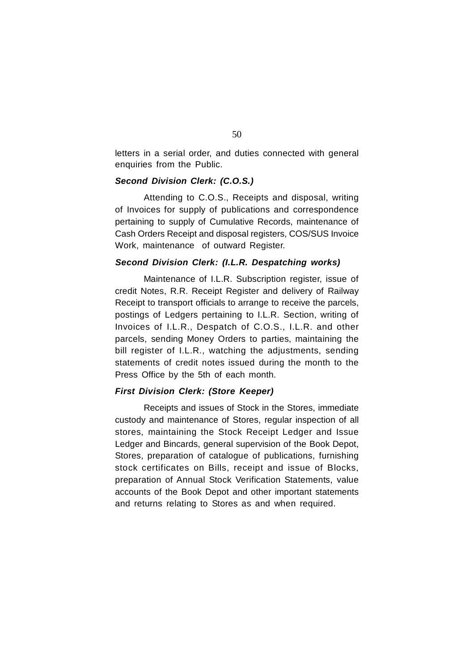letters in a serial order, and duties connected with general enquiries from the Public.

# *Second Division Clerk: (C.O.S.)*

Attending to C.O.S., Receipts and disposal, writing of Invoices for supply of publications and correspondence pertaining to supply of Cumulative Records, maintenance of Cash Orders Receipt and disposal registers, COS/SUS Invoice Work, maintenance of outward Register.

# *Second Division Clerk: (I.L.R. Despatching works)*

Maintenance of I.L.R. Subscription register, issue of credit Notes, R.R. Receipt Register and delivery of Railway Receipt to transport officials to arrange to receive the parcels, postings of Ledgers pertaining to I.L.R. Section, writing of Invoices of I.L.R., Despatch of C.O.S., I.L.R. and other parcels, sending Money Orders to parties, maintaining the bill register of I.L.R., watching the adjustments, sending statements of credit notes issued during the month to the Press Office by the 5th of each month.

# *First Division Clerk: (Store Keeper)*

Receipts and issues of Stock in the Stores, immediate custody and maintenance of Stores, regular inspection of all stores, maintaining the Stock Receipt Ledger and Issue Ledger and Bincards, general supervision of the Book Depot, Stores, preparation of catalogue of publications, furnishing stock certificates on Bills, receipt and issue of Blocks, preparation of Annual Stock Verification Statements, value accounts of the Book Depot and other important statements and returns relating to Stores as and when required.

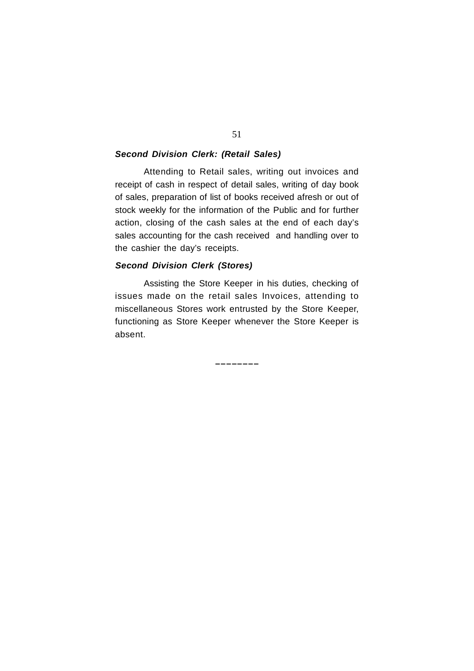# *Second Division Clerk: (Retail Sales)*

Attending to Retail sales, writing out invoices and receipt of cash in respect of detail sales, writing of day book of sales, preparation of list of books received afresh or out of stock weekly for the information of the Public and for further action, closing of the cash sales at the end of each day's sales accounting for the cash received and handling over to the cashier the day's receipts.

# *Second Division Clerk (Stores)*

Assisting the Store Keeper in his duties, checking of issues made on the retail sales Invoices, attending to miscellaneous Stores work entrusted by the Store Keeper, functioning as Store Keeper whenever the Store Keeper is absent.

**\_\_\_\_\_\_\_\_**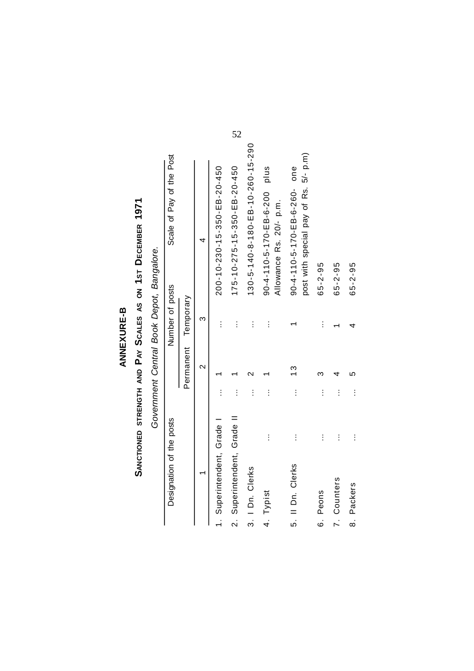# ANNEXURE-B<br>Sanctioned strength and Pay Scales as on 1st December 1971 **SANCTIONED STRENGTH AND PAY SCALES AS ON 1ST DECEMBER 1971**

Government Central Book Depot, Bangalore. *Government Central Book Depot, Bangalore.*

| Designation of the posts     |          |                    | Number of posts | Scale of Pay of the Post                                                  |
|------------------------------|----------|--------------------|-----------------|---------------------------------------------------------------------------|
|                              |          | Permanent          | Temporary       |                                                                           |
|                              |          | $\scriptstyle\sim$ | ო               |                                                                           |
| 1. Superintendent, Grade     | $\vdots$ |                    | İ               | 200-10-230-15-350-EB-20-450                                               |
| 2. Superintendent, Grade II  | $\vdots$ |                    | $\vdots$        | 175-10-275-15-350-EB-20-450                                               |
| 3. I Dn. Clerks              | $\vdots$ |                    | $\vdots$        | 130-5-140-8-180-EB-10-260-15-290                                          |
| $\vdots$<br>4. Typist        | $\vdots$ |                    | $\vdots$        | plus<br>$90 - 4 - 110 - 5 - 170 - 5 - 6 - 200$<br>Allowance Rs. 20/- p.m. |
| $\vdots$<br>5. Il Dn. Clerks | $\vdots$ | $\frac{3}{2}$      |                 | post with special pay of Rs. 5/- p.m)<br>$90-4-110-5-170-EB-6-260-one$    |
| $\vdots$<br>6. Peons         | $\vdots$ |                    | $\vdots$        | $65 - 2 - 95$                                                             |
| Ì<br>7. Counters             | $\vdots$ |                    |                 | $65 - 2 - 95$                                                             |
| $\vdots$<br>8. Packers       | $\vdots$ |                    |                 | $65 - 2 - 95$                                                             |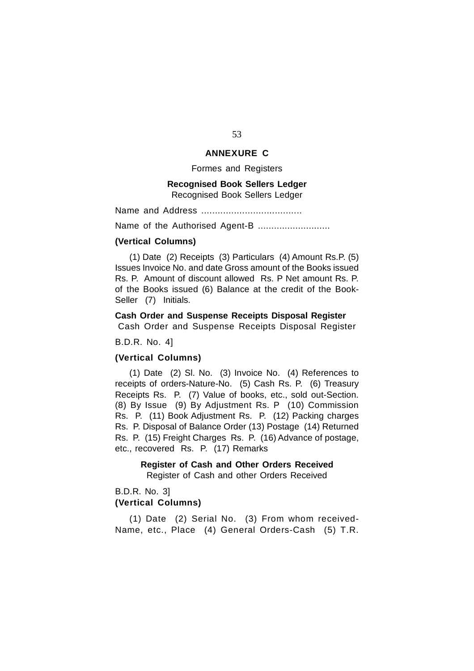# **ANNEXURE C**

Formes and Registers

# **Recognised Book Sellers Ledger**

Recognised Book Sellers Ledger

Name and Address .....................................

Name of the Authorised Agent-B ...........................

# **(Vertical Columns)**

(1) Date (2) Receipts (3) Particulars (4) Amount Rs.P. (5) Issues Invoice No. and date Gross amount of the Books issued Rs. P. Amount of discount allowed Rs. P Net amount Rs. P. of the Books issued (6) Balance at the credit of the Book-Seller (7) Initials.

# **Cash Order and Suspense Receipts Disposal Register**

Cash Order and Suspense Receipts Disposal Register

# B.D.R. No. 4]

# **(Vertical Columns)**

(1) Date (2) Sl. No. (3) Invoice No. (4) References to receipts of orders-Nature-No. (5) Cash Rs. P. (6) Treasury Receipts Rs. P. (7) Value of books, etc., sold out-Section. (8) By Issue (9) By Adjustment Rs. P (10) Commission Rs. P. (11) Book Adjustment Rs. P. (12) Packing charges Rs. P. Disposal of Balance Order (13) Postage (14) Returned Rs. P. (15) Freight Charges Rs. P. (16) Advance of postage, etc., recovered Rs. P. (17) Remarks

> **Register of Cash and Other Orders Received** Register of Cash and other Orders Received

# B.D.R. No. 3] **(Vertical Columns)**

(1) Date (2) Serial No. (3) From whom received-Name, etc., Place (4) General Orders-Cash (5) T.R.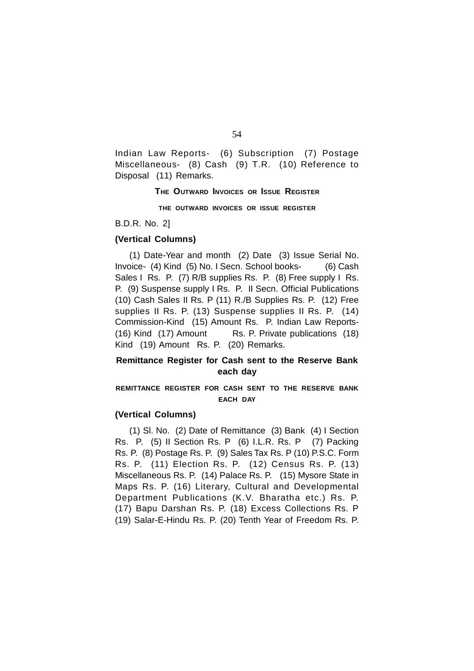Indian Law Reports- (6) Subscription (7) Postage Miscellaneous- (8) Cash (9) T.R. (10) Reference to Disposal (11) Remarks.

**THE OUTWARD INVOICES OR ISSUE REGISTER**

**THE OUTWARD INVOICES OR ISSUE REGISTER**

B.D.R. No. 2]

# **(Vertical Columns)**

(1) Date-Year and month (2) Date (3) Issue Serial No. Invoice- (4) Kind (5) No. I Secn. School books- (6) Cash Sales I Rs. P. (7) R/B supplies Rs. P. (8) Free supply I Rs. P. (9) Suspense supply I Rs. P. II Secn. Official Publications (10) Cash Sales II Rs. P (11) R./B Supplies Rs. P. (12) Free supplies II Rs. P. (13) Suspense supplies II Rs. P. (14) Commission-Kind (15) Amount Rs. P. Indian Law Reports- (16) Kind (17) Amount Rs. P. Private publications (18) Kind (19) Amount Rs. P. (20) Remarks.

# **Remittance Register for Cash sent to the Reserve Bank each day**

# **REMITTANCE REGISTER FOR CASH SENT TO THE RESERVE BANK EACH DAY**

# **(Vertical Columns)**

(1) Sl. No. (2) Date of Remittance (3) Bank (4) I Section Rs. P. (5) II Section Rs. P (6) I.L.R. Rs. P (7) Packing Rs. P. (8) Postage Rs. P. (9) Sales Tax Rs. P (10) P.S.C. Form Rs. P. (11) Election Rs. P. (12) Census Rs. P. (13) Miscellaneous Rs. P. (14) Palace Rs. P. (15) Mysore State in Maps Rs. P. (16) Literary, Cultural and Developmental Department Publications (K.V. Bharatha etc.) Rs. P. (17) Bapu Darshan Rs. P. (18) Excess Collections Rs. P (19) Salar-E-Hindu Rs. P. (20) Tenth Year of Freedom Rs. P.

54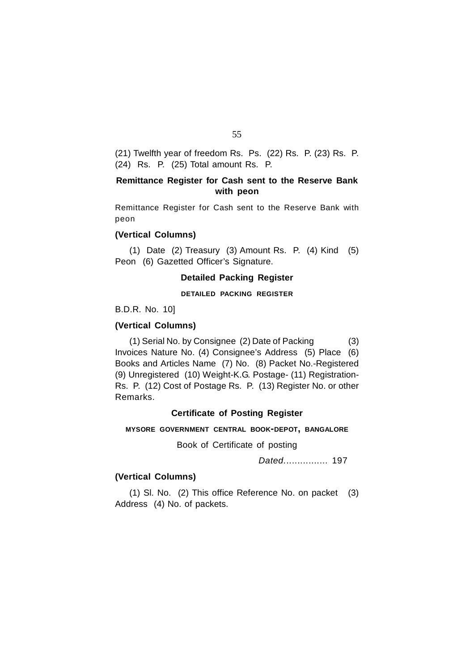(21) Twelfth year of freedom Rs. Ps. (22) Rs. P. (23) Rs. P. (24) Rs. P. (25) Total amount Rs. P.

# **Remittance Register for Cash sent to the Reserve Bank with peon**

Remittance Register for Cash sent to the Reserve Bank with peon

# **(Vertical Columns)**

(1) Date (2) Treasury (3) Amount Rs. P. (4) Kind (5) Peon (6) Gazetted Officer's Signature.

# **Detailed Packing Register**

# **DETAILED PACKING REGISTER**

B.D.R. No. 10]

# **(Vertical Columns)**

(1) Serial No. by Consignee (2) Date of Packing (3) Invoices Nature No. (4) Consignee's Address (5) Place (6) Books and Articles Name (7) No. (8) Packet No.-Registered (9) Unregistered (10) Weight-K.G. Postage- (11) Registration-Rs. P. (12) Cost of Postage Rs. P. (13) Register No. or other Remarks.

# **Certificate of Posting Register**

# **MYSORE GOVERNMENT CENTRAL BOOK-DEPOT, BANGALORE**

Book of Certificate of posting

*Dated.*............... 197

# **(Vertical Columns)**

(1) Sl. No. (2) This office Reference No. on packet (3) Address (4) No. of packets.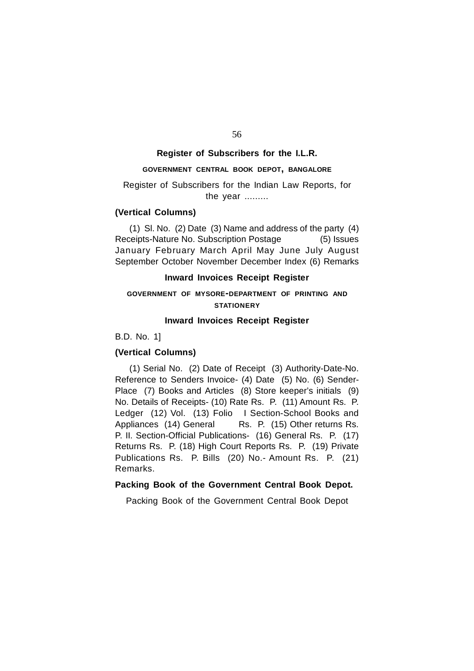# 56

# **Register of Subscribers for the I.L.R.**

# **GOVERNMENT CENTRAL BOOK DEPOT, BANGALORE**

# Register of Subscribers for the Indian Law Reports, for the year .........

# **(Vertical Columns)**

(1) Sl. No. (2) Date (3) Name and address of the party (4) Receipts-Nature No. Subscription Postage (5) Issues January February March April May June July August September October November December Index (6) Remarks

# **Inward Invoices Receipt Register**

# **GOVERNMENT OF MYSORE-DEPARTMENT OF PRINTING AND STATIONERY**

# **Inward Invoices Receipt Register**

B.D. No. 1]

# **(Vertical Columns)**

(1) Serial No. (2) Date of Receipt (3) Authority-Date-No. Reference to Senders Invoice- (4) Date (5) No. (6) Sender-Place (7) Books and Articles (8) Store keeper's initials (9) No. Details of Receipts- (10) Rate Rs. P. (11) Amount Rs. P. Ledger (12) Vol. (13) Folio I Section-School Books and Appliances (14) General Rs. P. (15) Other returns Rs. P. II. Section-Official Publications- (16) General Rs. P. (17) Returns Rs. P. (18) High Court Reports Rs. P. (19) Private Publications Rs. P. Bills (20) No.- Amount Rs. P. (21) Remarks.

# **Packing Book of the Government Central Book Depot.**

Packing Book of the Government Central Book Depot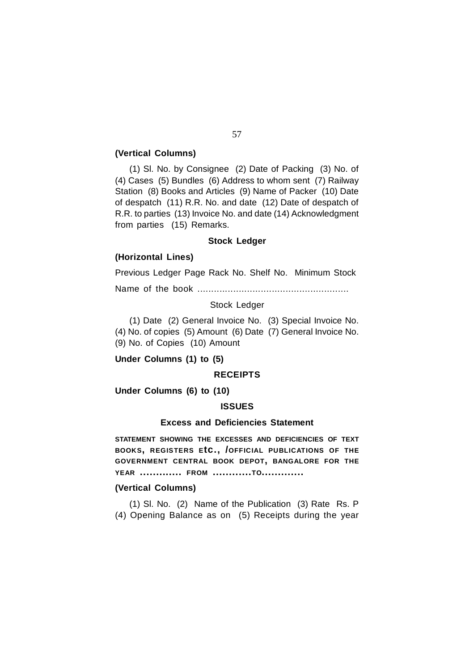# **(Vertical Columns)**

(1) Sl. No. by Consignee (2) Date of Packing (3) No. of (4) Cases (5) Bundles (6) Address to whom sent (7) Railway Station (8) Books and Articles (9) Name of Packer (10) Date of despatch (11) R.R. No. and date (12) Date of despatch of R.R. to parties (13) Invoice No. and date (14) Acknowledgment from parties (15) Remarks.

# **Stock Ledger**

# **(Horizontal Lines)**

Previous Ledger Page Rack No. Shelf No. Minimum Stock

Name of the book .......................................................

Stock Ledger

(1) Date (2) General Invoice No. (3) Special Invoice No. (4) No. of copies (5) Amount (6) Date (7) General Invoice No. (9) No. of Copies (10) Amount

**Under Columns (1) to (5)**

# **RECEIPTS**

**Under Columns (6) to (10)**

## **ISSUES**

# **Excess and Deficiencies Statement**

**STATEMENT SHOWING THE EXCESSES AND DEFICIENCIES OF TEXT BOOKS, REGISTERS <sup>E</sup>tc., /OFFICIAL PUBLICATIONS OF THE GOVERNMENT CENTRAL BOOK DEPOT, BANGALORE FOR THE YEAR ............. FROM ............TO.............**

# **(Vertical Columns)**

(1) Sl. No. (2) Name of the Publication (3) Rate Rs. P (4) Opening Balance as on (5) Receipts during the year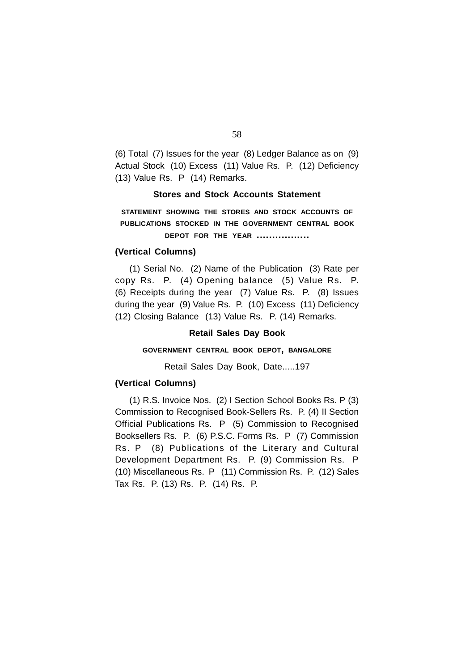(6) Total (7) Issues for the year (8) Ledger Balance as on (9) Actual Stock (10) Excess (11) Value Rs. P. (12) Deficiency (13) Value Rs. P (14) Remarks.

# **Stores and Stock Accounts Statement**

**STATEMENT SHOWING THE STORES AND STOCK ACCOUNTS OF PUBLICATIONS STOCKED IN THE GOVERNMENT CENTRAL BOOK DEPOT FOR THE YEAR .................**

# **(Vertical Columns)**

(1) Serial No. (2) Name of the Publication (3) Rate per copy Rs. P. (4) Opening balance (5) Value Rs. P. (6) Receipts during the year (7) Value Rs. P. (8) Issues during the year (9) Value Rs. P. (10) Excess (11) Deficiency (12) Closing Balance (13) Value Rs. P. (14) Remarks.

#### **Retail Sales Day Book**

# **GOVERNMENT CENTRAL BOOK DEPOT, BANGALORE**

Retail Sales Day Book, Date.....197

# **(Vertical Columns)**

(1) R.S. Invoice Nos. (2) I Section School Books Rs. P (3) Commission to Recognised Book-Sellers Rs. P. (4) II Section Official Publications Rs. P (5) Commission to Recognised Booksellers Rs. P. (6) P.S.C. Forms Rs. P (7) Commission Rs. P (8) Publications of the Literary and Cultural Development Department Rs. P. (9) Commission Rs. P (10) Miscellaneous Rs. P (11) Commission Rs. P. (12) Sales Tax Rs. P. (13) Rs. P. (14) Rs. P.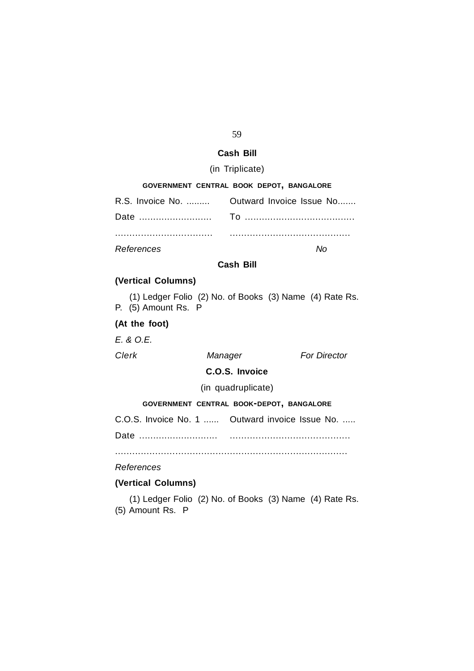# 59

# **Cash Bill**

# (in Triplicate)

| GOVERNMENT CENTRAL BOOK DEPOT, BANGALORE |                                            |
|------------------------------------------|--------------------------------------------|
|                                          | R.S. Invoice No.  Outward Invoice Issue No |
|                                          |                                            |
|                                          |                                            |

*References No*

# **Cash Bill**

# **(Vertical Columns)**

(1) Ledger Folio (2) No. of Books (3) Name (4) Rate Rs. P. (5) Amount Rs. P

# **(At the foot)**

*E. & O.E.*

*Clerk Manager For Director*

# **C.O.S. Invoice**

(in quadruplicate)

# **GOVERNMENT CENTRAL BOOK-DEPOT, BANGALORE**

C.O.S. Invoice No. 1 ...... Outward invoice Issue No. .....

Date ............................ ..........................................

.................................................................................

# *References*

# **(Vertical Columns)**

(1) Ledger Folio (2) No. of Books (3) Name (4) Rate Rs. (5) Amount Rs. P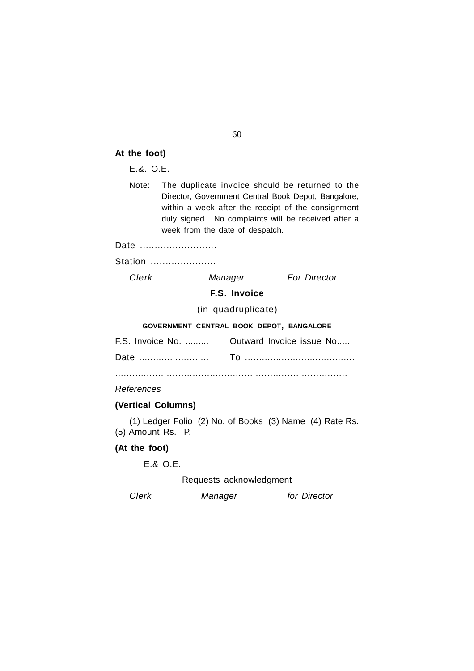# **At the foot)**

E.&. O.E.

Note: The duplicate invoice should be returned to the Director, Government Central Book Depot, Bangalore, within a week after the receipt of the consignment duly signed. No complaints will be received after a week from the date of despatch.

# Date ...........................

Station ......................

*Clerk Manager For Director*

**F.S. Invoice**

(in quadruplicate)

# **GOVERNMENT CENTRAL BOOK DEPOT, BANGALORE**

| F.S. Invoice No.  Outward Invoice issue No |
|--------------------------------------------|
|                                            |

.................................................................................

*References*

# **(Vertical Columns)**

(1) Ledger Folio (2) No. of Books (3) Name (4) Rate Rs. (5) Amount Rs. P.

# **(At the foot)**

E.& O.E.

Requests acknowledgment

*Clerk Manager for Director*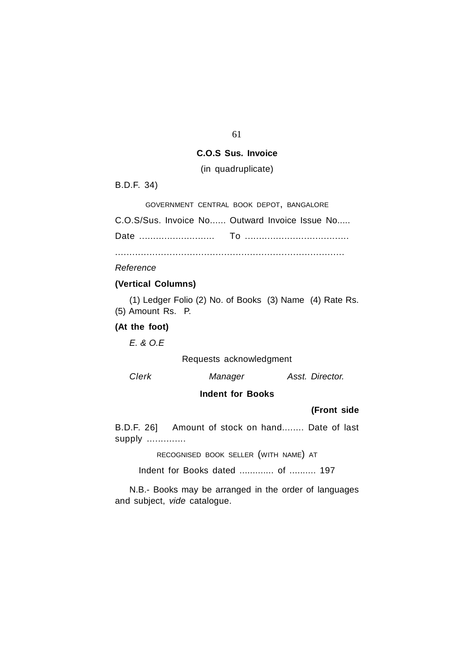# **C.O.S Sus. Invoice**

(in quadruplicate)

B.D.F. 34)

GOVERNMENT CENTRAL BOOK DEPOT, BANGALORE

C.O.S/Sus. Invoice No...... Outward Invoice Issue No.....

Date ........................... To .....................................

................................................................................

*Reference*

# **(Vertical Columns)**

(1) Ledger Folio (2) No. of Books (3) Name (4) Rate Rs. (5) Amount Rs. P.

**(At the foot)**

*E. & O.E*

Requests acknowledgment

*Clerk Manager Asst. Director.*

# **Indent for Books**

# **(Front side**

B.D.F. 26] Amount of stock on hand........ Date of last supply ..............

RECOGNISED BOOK SELLER (WITH NAME) AT

Indent for Books dated ............. of .......... 197

N.B.- Books may be arranged in the order of languages and subject, *vide* catalogue.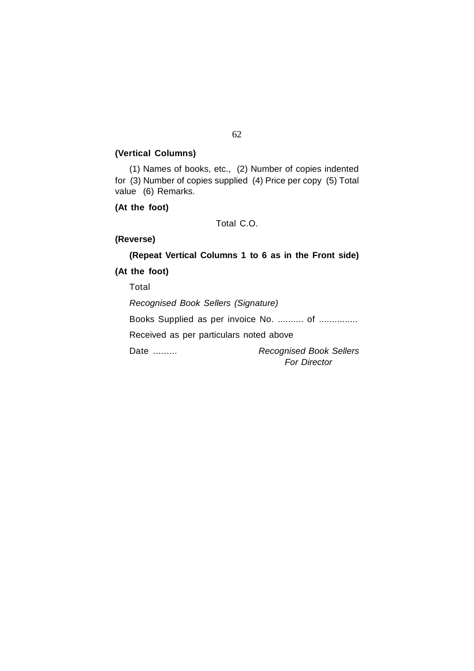# **(Vertical Columns)**

(1) Names of books, etc., (2) Number of copies indented for (3) Number of copies supplied (4) Price per copy (5) Total value (6) Remarks.

**(At the foot)**

Total C.O.

# **(Reverse)**

**(Repeat Vertical Columns 1 to 6 as in the Front side) (At the foot)** Total *Recognised Book Sellers (Signature)* Books Supplied as per invoice No. ........... of ............... Received as per particulars noted above Date ......... *Recognised Book Sellers*

 *For Director*